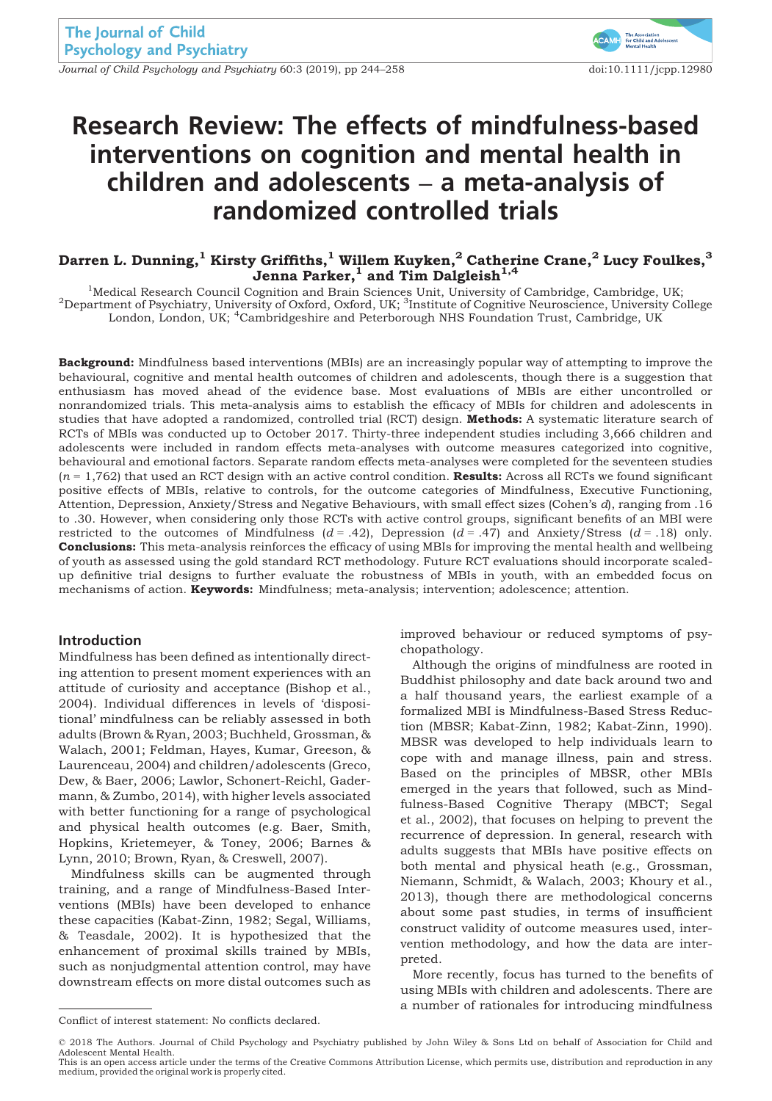Journal of Child Psychology and Psychiatry 60:3 (2019), pp 244–258 doi:10.1111/jcpp.12980



# Research Review: The effects of mindfulness-based interventions on cognition and mental health in children and adolescents – a meta-analysis of randomized controlled trials

# Darren L. Dunning, $^1$  Kirsty Griffiths, $^1$  Willem Kuyken, $^2$  Catherine Crane, $^2$  Lucy Foulkes, $^3$ Jenna Parker, $^1$  and Tim Dalgleish $^{1,4}$

<sup>1</sup>Medical Research Council Cognition and Brain Sciences Unit, University of Cambridge, Cambridge, UK;<sup>2</sup>Department of Psychiatry, University of Oxford, Oxford, UK;<sup>2</sup>Department of Psychiatry, University Co Department of Psychiatry, University of Oxford, Oxford, UK; <sup>3</sup>Institute of Cognitive Neuroscience, University College London, London, UK; <sup>4</sup>Cambridgeshire and Peterborough NHS Foundation Trust, Cambridge, UK

Background: Mindfulness based interventions (MBIs) are an increasingly popular way of attempting to improve the behavioural, cognitive and mental health outcomes of children and adolescents, though there is a suggestion that enthusiasm has moved ahead of the evidence base. Most evaluations of MBIs are either uncontrolled or nonrandomized trials. This meta-analysis aims to establish the efficacy of MBIs for children and adolescents in studies that have adopted a randomized, controlled trial (RCT) design. Methods: A systematic literature search of RCTs of MBIs was conducted up to October 2017. Thirty-three independent studies including 3,666 children and adolescents were included in random effects meta-analyses with outcome measures categorized into cognitive, behavioural and emotional factors. Separate random effects meta-analyses were completed for the seventeen studies  $(n = 1,762)$  that used an RCT design with an active control condition. Results: Across all RCTs we found significant positive effects of MBIs, relative to controls, for the outcome categories of Mindfulness, Executive Functioning, Attention, Depression, Anxiety/Stress and Negative Behaviours, with small effect sizes (Cohen's d), ranging from .16 to .30. However, when considering only those RCTs with active control groups, significant benefits of an MBI were restricted to the outcomes of Mindfulness ( $d = .42$ ), Depression ( $d = .47$ ) and Anxiety/Stress ( $d = .18$ ) only. **Conclusions:** This meta-analysis reinforces the efficacy of using MBIs for improving the mental health and wellbeing of youth as assessed using the gold standard RCT methodology. Future RCT evaluations should incorporate scaledup definitive trial designs to further evaluate the robustness of MBIs in youth, with an embedded focus on mechanisms of action. **Keywords:** Mindfulness; meta-analysis; intervention; adolescence; attention.

#### Introduction

Mindfulness has been defined as intentionally directing attention to present moment experiences with an attitude of curiosity and acceptance (Bishop et al., 2004). Individual differences in levels of 'dispositional' mindfulness can be reliably assessed in both adults (Brown & Ryan, 2003; Buchheld, Grossman, & Walach, 2001; Feldman, Hayes, Kumar, Greeson, & Laurenceau, 2004) and children/adolescents (Greco, Dew, & Baer, 2006; Lawlor, Schonert-Reichl, Gadermann, & Zumbo, 2014), with higher levels associated with better functioning for a range of psychological and physical health outcomes (e.g. Baer, Smith, Hopkins, Krietemeyer, & Toney, 2006; Barnes & Lynn, 2010; Brown, Ryan, & Creswell, 2007).

Mindfulness skills can be augmented through training, and a range of Mindfulness-Based Interventions (MBIs) have been developed to enhance these capacities (Kabat-Zinn, 1982; Segal, Williams, & Teasdale, 2002). It is hypothesized that the enhancement of proximal skills trained by MBIs, such as nonjudgmental attention control, may have downstream effects on more distal outcomes such as

improved behaviour or reduced symptoms of psychopathology.

Although the origins of mindfulness are rooted in Buddhist philosophy and date back around two and a half thousand years, the earliest example of a formalized MBI is Mindfulness-Based Stress Reduction (MBSR; Kabat-Zinn, 1982; Kabat-Zinn, 1990). MBSR was developed to help individuals learn to cope with and manage illness, pain and stress. Based on the principles of MBSR, other MBIs emerged in the years that followed, such as Mindfulness-Based Cognitive Therapy (MBCT; Segal et al., 2002), that focuses on helping to prevent the recurrence of depression. In general, research with adults suggests that MBIs have positive effects on both mental and physical heath (e.g., Grossman, Niemann, Schmidt, & Walach, 2003; Khoury et al., 2013), though there are methodological concerns about some past studies, in terms of insufficient construct validity of outcome measures used, intervention methodology, and how the data are interpreted.

More recently, focus has turned to the benefits of using MBIs with children and adolescents. There are a number of rationales for introducing mindfulness

Conflict of interest statement: No conflicts declared.

<sup>©</sup> 2018 The Authors. Journal of Child Psychology and Psychiatry published by John Wiley & Sons Ltd on behalf of Association for Child and Adolescent Mental Health.

This is an open access article under the terms of the [Creative Commons Attribution](http://creativecommons.org/licenses/by/4.0/) License, which permits use, distribution and reproduction in any medium, provided the original work is properly cited.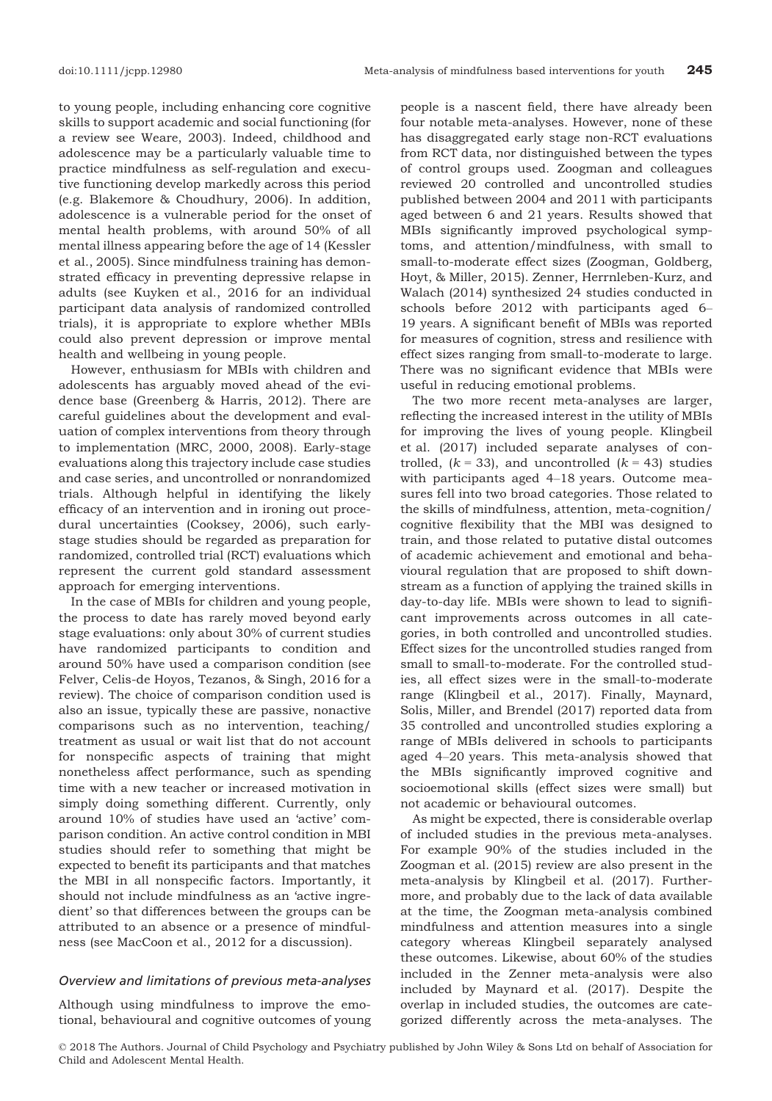to young people, including enhancing core cognitive skills to support academic and social functioning (for a review see Weare, 2003). Indeed, childhood and adolescence may be a particularly valuable time to practice mindfulness as self-regulation and executive functioning develop markedly across this period (e.g. Blakemore & Choudhury, 2006). In addition, adolescence is a vulnerable period for the onset of mental health problems, with around 50% of all mental illness appearing before the age of 14 (Kessler et al., 2005). Since mindfulness training has demonstrated efficacy in preventing depressive relapse in adults (see Kuyken et al., 2016 for an individual participant data analysis of randomized controlled trials), it is appropriate to explore whether MBIs could also prevent depression or improve mental health and wellbeing in young people.

However, enthusiasm for MBIs with children and adolescents has arguably moved ahead of the evidence base (Greenberg & Harris, 2012). There are careful guidelines about the development and evaluation of complex interventions from theory through to implementation (MRC, 2000, 2008). Early-stage evaluations along this trajectory include case studies and case series, and uncontrolled or nonrandomized trials. Although helpful in identifying the likely efficacy of an intervention and in ironing out procedural uncertainties (Cooksey, 2006), such earlystage studies should be regarded as preparation for randomized, controlled trial (RCT) evaluations which represent the current gold standard assessment approach for emerging interventions.

In the case of MBIs for children and young people, the process to date has rarely moved beyond early stage evaluations: only about 30% of current studies have randomized participants to condition and around 50% have used a comparison condition (see Felver, Celis-de Hoyos, Tezanos, & Singh, 2016 for a review). The choice of comparison condition used is also an issue, typically these are passive, nonactive comparisons such as no intervention, teaching/ treatment as usual or wait list that do not account for nonspecific aspects of training that might nonetheless affect performance, such as spending time with a new teacher or increased motivation in simply doing something different. Currently, only around 10% of studies have used an 'active' comparison condition. An active control condition in MBI studies should refer to something that might be expected to benefit its participants and that matches the MBI in all nonspecific factors. Importantly, it should not include mindfulness as an 'active ingredient' so that differences between the groups can be attributed to an absence or a presence of mindfulness (see MacCoon et al., 2012 for a discussion).

#### Overview and limitations of previous meta-analyses

Although using mindfulness to improve the emotional, behavioural and cognitive outcomes of young

people is a nascent field, there have already been four notable meta-analyses. However, none of these has disaggregated early stage non-RCT evaluations from RCT data, nor distinguished between the types of control groups used. Zoogman and colleagues reviewed 20 controlled and uncontrolled studies published between 2004 and 2011 with participants aged between 6 and 21 years. Results showed that MBIs significantly improved psychological symptoms, and attention/mindfulness, with small to small-to-moderate effect sizes (Zoogman, Goldberg, Hoyt, & Miller, 2015). Zenner, Herrnleben-Kurz, and Walach (2014) synthesized 24 studies conducted in schools before 2012 with participants aged 6– 19 years. A significant benefit of MBIs was reported for measures of cognition, stress and resilience with effect sizes ranging from small-to-moderate to large. There was no significant evidence that MBIs were useful in reducing emotional problems.

The two more recent meta-analyses are larger, reflecting the increased interest in the utility of MBIs for improving the lives of young people. Klingbeil et al. (2017) included separate analyses of controlled,  $(k = 33)$ , and uncontrolled  $(k = 43)$  studies with participants aged 4–18 years. Outcome measures fell into two broad categories. Those related to the skills of mindfulness, attention, meta-cognition/ cognitive flexibility that the MBI was designed to train, and those related to putative distal outcomes of academic achievement and emotional and behavioural regulation that are proposed to shift downstream as a function of applying the trained skills in day-to-day life. MBIs were shown to lead to significant improvements across outcomes in all categories, in both controlled and uncontrolled studies. Effect sizes for the uncontrolled studies ranged from small to small-to-moderate. For the controlled studies, all effect sizes were in the small-to-moderate range (Klingbeil et al., 2017). Finally, Maynard, Solis, Miller, and Brendel (2017) reported data from 35 controlled and uncontrolled studies exploring a range of MBIs delivered in schools to participants aged 4–20 years. This meta-analysis showed that the MBIs significantly improved cognitive and socioemotional skills (effect sizes were small) but not academic or behavioural outcomes.

As might be expected, there is considerable overlap of included studies in the previous meta-analyses. For example 90% of the studies included in the Zoogman et al. (2015) review are also present in the meta-analysis by Klingbeil et al. (2017). Furthermore, and probably due to the lack of data available at the time, the Zoogman meta-analysis combined mindfulness and attention measures into a single category whereas Klingbeil separately analysed these outcomes. Likewise, about 60% of the studies included in the Zenner meta-analysis were also included by Maynard et al. (2017). Despite the overlap in included studies, the outcomes are categorized differently across the meta-analyses. The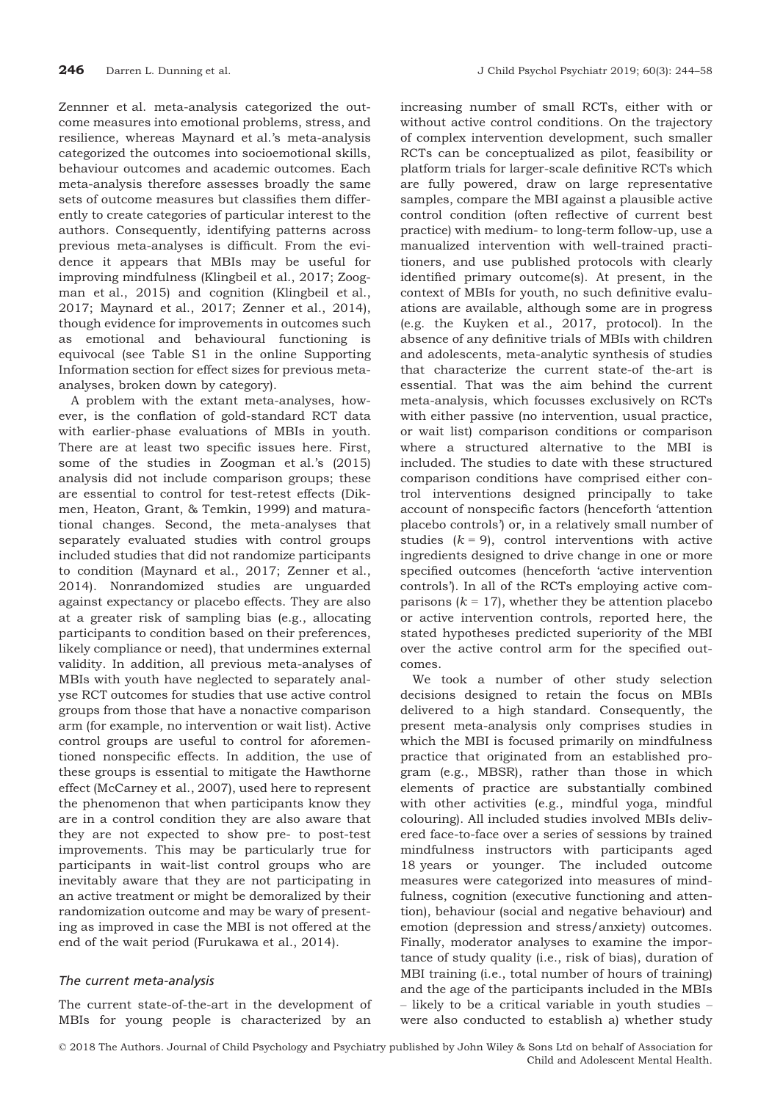Zennner et al. meta-analysis categorized the outcome measures into emotional problems, stress, and resilience, whereas Maynard et al.'s meta-analysis categorized the outcomes into socioemotional skills, behaviour outcomes and academic outcomes. Each meta-analysis therefore assesses broadly the same sets of outcome measures but classifies them differently to create categories of particular interest to the authors. Consequently, identifying patterns across previous meta-analyses is difficult. From the evidence it appears that MBIs may be useful for improving mindfulness (Klingbeil et al., 2017; Zoogman et al., 2015) and cognition (Klingbeil et al., 2017; Maynard et al., 2017; Zenner et al., 2014), though evidence for improvements in outcomes such as emotional and behavioural functioning is equivocal (see Table S1 in the online Supporting Information section for effect sizes for previous metaanalyses, broken down by category).

A problem with the extant meta-analyses, however, is the conflation of gold-standard RCT data with earlier-phase evaluations of MBIs in youth. There are at least two specific issues here. First, some of the studies in Zoogman et al.'s (2015) analysis did not include comparison groups; these are essential to control for test-retest effects (Dikmen, Heaton, Grant, & Temkin, 1999) and maturational changes. Second, the meta-analyses that separately evaluated studies with control groups included studies that did not randomize participants to condition (Maynard et al., 2017; Zenner et al., 2014). Nonrandomized studies are unguarded against expectancy or placebo effects. They are also at a greater risk of sampling bias (e.g., allocating participants to condition based on their preferences, likely compliance or need), that undermines external validity. In addition, all previous meta-analyses of MBIs with youth have neglected to separately analyse RCT outcomes for studies that use active control groups from those that have a nonactive comparison arm (for example, no intervention or wait list). Active control groups are useful to control for aforementioned nonspecific effects. In addition, the use of these groups is essential to mitigate the Hawthorne effect (McCarney et al., 2007), used here to represent the phenomenon that when participants know they are in a control condition they are also aware that they are not expected to show pre- to post-test improvements. This may be particularly true for participants in wait-list control groups who are inevitably aware that they are not participating in an active treatment or might be demoralized by their randomization outcome and may be wary of presenting as improved in case the MBI is not offered at the end of the wait period (Furukawa et al., 2014).

# The current meta-analysis

The current state-of-the-art in the development of MBIs for young people is characterized by an

increasing number of small RCTs, either with or without active control conditions. On the trajectory of complex intervention development, such smaller RCTs can be conceptualized as pilot, feasibility or platform trials for larger-scale definitive RCTs which are fully powered, draw on large representative samples, compare the MBI against a plausible active control condition (often reflective of current best practice) with medium- to long-term follow-up, use a manualized intervention with well-trained practitioners, and use published protocols with clearly identified primary outcome(s). At present, in the context of MBIs for youth, no such definitive evaluations are available, although some are in progress (e.g. the Kuyken et al., 2017, protocol). In the absence of any definitive trials of MBIs with children and adolescents, meta-analytic synthesis of studies that characterize the current state-of the-art is essential. That was the aim behind the current meta-analysis, which focusses exclusively on RCTs with either passive (no intervention, usual practice, or wait list) comparison conditions or comparison where a structured alternative to the MBI is included. The studies to date with these structured comparison conditions have comprised either control interventions designed principally to take account of nonspecific factors (henceforth 'attention placebo controls') or, in a relatively small number of studies  $(k = 9)$ , control interventions with active ingredients designed to drive change in one or more specified outcomes (henceforth 'active intervention controls'). In all of the RCTs employing active comparisons ( $k = 17$ ), whether they be attention placebo or active intervention controls, reported here, the stated hypotheses predicted superiority of the MBI over the active control arm for the specified outcomes.

We took a number of other study selection decisions designed to retain the focus on MBIs delivered to a high standard. Consequently, the present meta-analysis only comprises studies in which the MBI is focused primarily on mindfulness practice that originated from an established program (e.g., MBSR), rather than those in which elements of practice are substantially combined with other activities (e.g., mindful yoga, mindful colouring). All included studies involved MBIs delivered face-to-face over a series of sessions by trained mindfulness instructors with participants aged 18 years or younger. The included outcome measures were categorized into measures of mindfulness, cognition (executive functioning and attention), behaviour (social and negative behaviour) and emotion (depression and stress/anxiety) outcomes. Finally, moderator analyses to examine the importance of study quality (i.e., risk of bias), duration of MBI training (i.e., total number of hours of training) and the age of the participants included in the MBIs – likely to be a critical variable in youth studies – were also conducted to establish a) whether study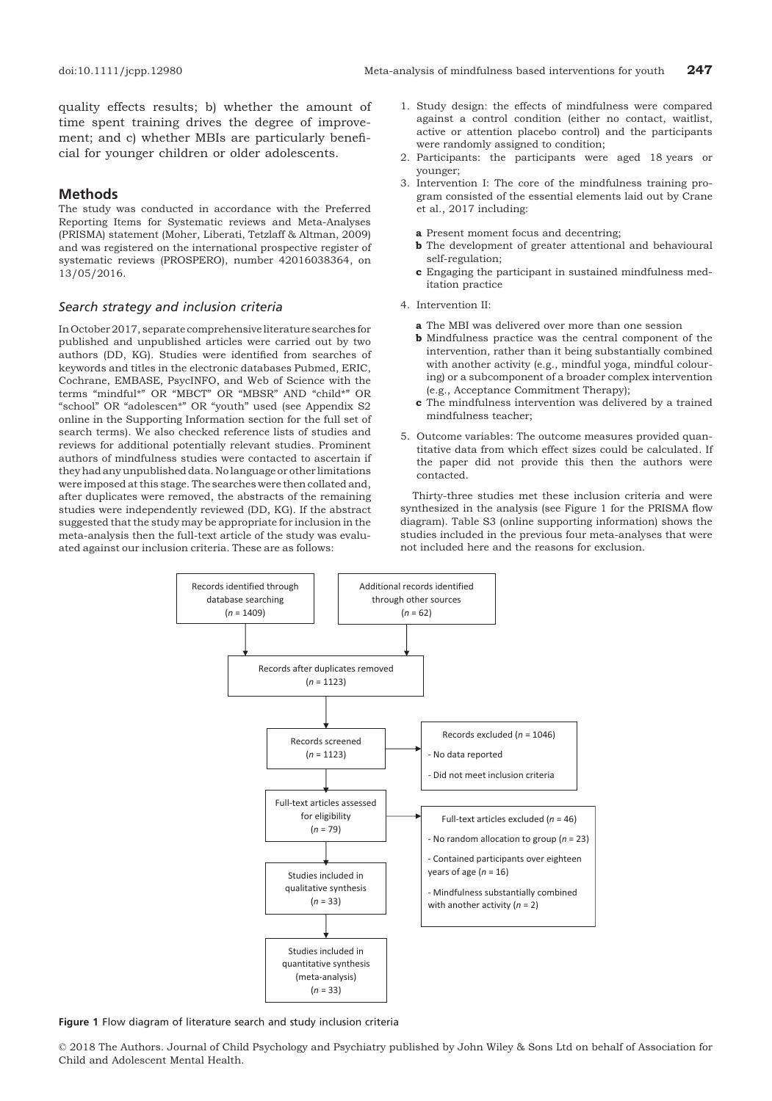quality effects results; b) whether the amount of time spent training drives the degree of improvement; and c) whether MBIs are particularly beneficial for younger children or older adolescents.

# Methods

The study was conducted in accordance with the Preferred Reporting Items for Systematic reviews and Meta-Analyses (PRISMA) statement (Moher, Liberati, Tetzlaff & Altman, 2009) and was registered on the international prospective register of systematic reviews (PROSPERO), number 42016038364, on 13/05/2016.

#### Search strategy and inclusion criteria

In October 2017, separate comprehensive literature searches for published and unpublished articles were carried out by two authors (DD, KG). Studies were identified from searches of keywords and titles in the electronic databases Pubmed, ERIC, Cochrane, EMBASE, PsycINFO, and Web of Science with the terms "mindful\*" OR "MBCT" OR "MBSR" AND "child\*" OR "school" OR "adolescen\*" OR "youth" used (see Appendix S2 online in the Supporting Information section for the full set of search terms). We also checked reference lists of studies and reviews for additional potentially relevant studies. Prominent authors of mindfulness studies were contacted to ascertain if they had any unpublished data. No language or other limitations were imposed at this stage. The searches were then collated and, after duplicates were removed, the abstracts of the remaining studies were independently reviewed (DD, KG). If the abstract suggested that the study may be appropriate for inclusion in the meta-analysis then the full-text article of the study was evaluated against our inclusion criteria. These are as follows:

- 1. Study design: the effects of mindfulness were compared against a control condition (either no contact, waitlist, active or attention placebo control) and the participants were randomly assigned to condition;
- 2. Participants: the participants were aged 18 years or younger;
- 3. Intervention I: The core of the mindfulness training program consisted of the essential elements laid out by Crane et al., 2017 including:
	- a Present moment focus and decentring;
	- **b** The development of greater attentional and behavioural self-regulation;
	- c Engaging the participant in sustained mindfulness meditation practice
- 4. Intervention II:
	- a The MBI was delivered over more than one session
	- b Mindfulness practice was the central component of the intervention, rather than it being substantially combined with another activity (e.g., mindful yoga, mindful colouring) or a subcomponent of a broader complex intervention (e.g., Acceptance Commitment Therapy);
	- c The mindfulness intervention was delivered by a trained mindfulness teacher;
- 5. Outcome variables: The outcome measures provided quantitative data from which effect sizes could be calculated. If the paper did not provide this then the authors were contacted.

Thirty-three studies met these inclusion criteria and were synthesized in the analysis (see Figure 1 for the PRISMA flow diagram). Table S3 (online supporting information) shows the studies included in the previous four meta-analyses that were not included here and the reasons for exclusion.



Figure 1 Flow diagram of literature search and study inclusion criteria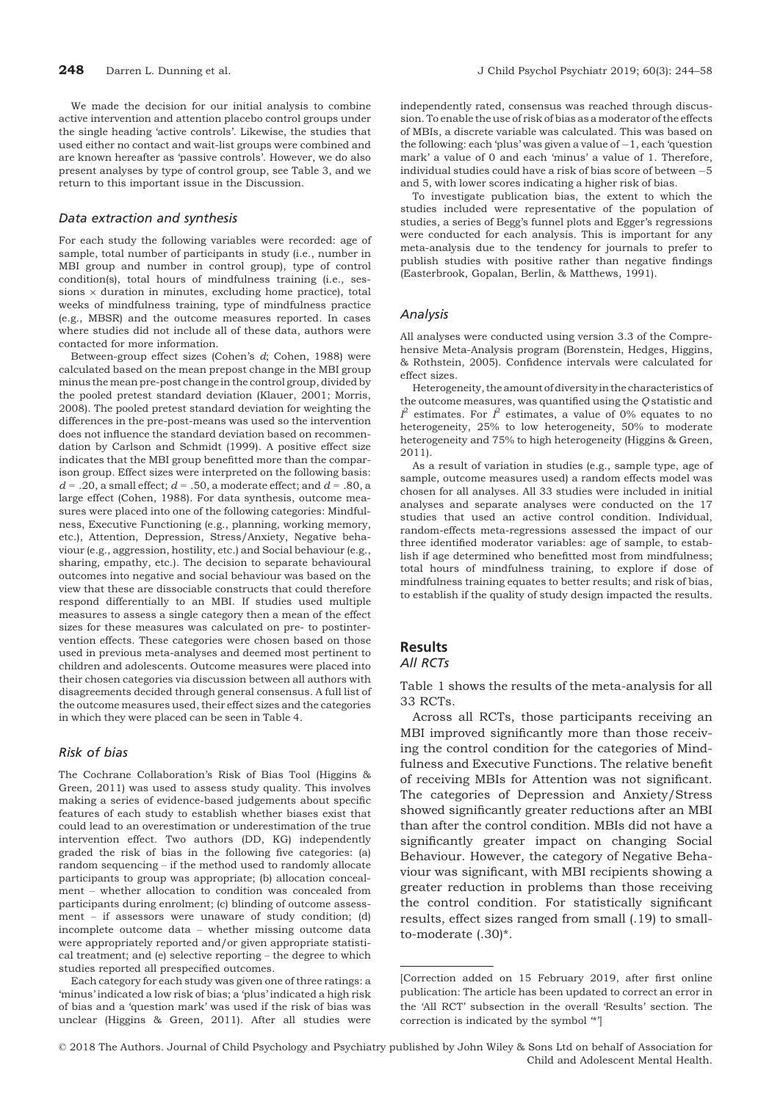We made the decision for our initial analysis to combine active intervention and attention placebo control groups under the single heading 'active controls'. Likewise, the studies that used either no contact and wait-list groups were combined and are known hereafter as 'passive controls'. However, we do also present analyses by type of control group, see Table 3, and we return to this important issue in the Discussion.

#### Data extraction and synthesis

For each study the following variables were recorded: age of sample, total number of participants in study (i.e., number in MBI group and number in control group), type of control condition(s), total hours of mindfulness training (i.e., sessions  $\times$  duration in minutes, excluding home practice), total weeks of mindfulness training, type of mindfulness practice (e.g., MBSR) and the outcome measures reported. In cases where studies did not include all of these data, authors were contacted for more information.

Between-group effect sizes (Cohen's d; Cohen, 1988) were calculated based on the mean prepost change in the MBI group minus the mean pre-post change in the control group, divided by the pooled pretest standard deviation (Klauer, 2001; Morris, 2008). The pooled pretest standard deviation for weighting the differences in the pre-post-means was used so the intervention does not influence the standard deviation based on recommendation by Carlson and Schmidt (1999). A positive effect size indicates that the MBI group benefitted more than the comparison group. Effect sizes were interpreted on the following basis:  $d = .20$ , a small effect;  $d = .50$ , a moderate effect; and  $d = .80$ , a large effect (Cohen, 1988). For data synthesis, outcome measures were placed into one of the following categories: Mindfulness, Executive Functioning (e.g., planning, working memory, etc.), Attention, Depression, Stress/Anxiety, Negative behaviour (e.g., aggression, hostility, etc.) and Social behaviour (e.g., sharing, empathy, etc.). The decision to separate behavioural outcomes into negative and social behaviour was based on the view that these are dissociable constructs that could therefore respond differentially to an MBI. If studies used multiple measures to assess a single category then a mean of the effect sizes for these measures was calculated on pre- to postintervention effects. These categories were chosen based on those used in previous meta-analyses and deemed most pertinent to children and adolescents. Outcome measures were placed into their chosen categories via discussion between all authors with disagreements decided through general consensus. A full list of the outcome measures used, their effect sizes and the categories in which they were placed can be seen in Table 4.

### Risk of bias

The Cochrane Collaboration's Risk of Bias Tool (Higgins & Green, 2011) was used to assess study quality. This involves making a series of evidence-based judgements about specific features of each study to establish whether biases exist that could lead to an overestimation or underestimation of the true intervention effect. Two authors (DD, KG) independently graded the risk of bias in the following five categories: (a) random sequencing – if the method used to randomly allocate participants to group was appropriate; (b) allocation concealment – whether allocation to condition was concealed from participants during enrolment; (c) blinding of outcome assessment – if assessors were unaware of study condition; (d) incomplete outcome data – whether missing outcome data were appropriately reported and/or given appropriate statistical treatment; and (e) selective reporting – the degree to which studies reported all prespecified outcomes.

Each category for each study was given one of three ratings: a 'minus' indicated a low risk of bias; a 'plus' indicated a high risk of bias and a 'question mark' was used if the risk of bias was unclear (Higgins & Green, 2011). After all studies were

independently rated, consensus was reached through discussion. To enable the use of risk of bias as a moderator of the effects of MBIs, a discrete variable was calculated. This was based on the following: each 'plus' was given a value of  $-1$ , each 'question mark' a value of 0 and each 'minus' a value of 1. Therefore, individual studies could have a risk of bias score of between  $-5$ and 5, with lower scores indicating a higher risk of bias.

To investigate publication bias, the extent to which the studies included were representative of the population of studies, a series of Begg's funnel plots and Egger's regressions were conducted for each analysis. This is important for any meta-analysis due to the tendency for journals to prefer to publish studies with positive rather than negative findings (Easterbrook, Gopalan, Berlin, & Matthews, 1991).

#### Analysis

All analyses were conducted using version 3.3 of the Comprehensive Meta-Analysis program (Borenstein, Hedges, Higgins, & Rothstein, 2005). Confidence intervals were calculated for effect sizes.

Heterogeneity, the amount of diversity in the characteristics of the outcome measures, was quantified using the Q statistic and  $l^2$  estimates. For  $l^2$  estimates, a value of 0% equates to no heterogeneity, 25% to low heterogeneity, 50% to moderate heterogeneity and 75% to high heterogeneity (Higgins & Green, 2011).

As a result of variation in studies (e.g., sample type, age of sample, outcome measures used) a random effects model was chosen for all analyses. All 33 studies were included in initial analyses and separate analyses were conducted on the 17 studies that used an active control condition. Individual, random-effects meta-regressions assessed the impact of our three identified moderator variables: age of sample, to establish if age determined who benefitted most from mindfulness; total hours of mindfulness training, to explore if dose of mindfulness training equates to better results; and risk of bias, to establish if the quality of study design impacted the results.

#### Results All RCTs

Table 1 shows the results of the meta-analysis for all 33 RCTs.

Across all RCTs, those participants receiving an MBI improved significantly more than those receiving the control condition for the categories of Mindfulness and Executive Functions. The relative benefit of receiving MBIs for Attention was not significant. The categories of Depression and Anxiety/Stress showed significantly greater reductions after an MBI than after the control condition. MBIs did not have a significantly greater impact on changing Social Behaviour. However, the category of Negative Behaviour was significant, with MBI recipients showing a greater reduction in problems than those receiving the control condition. For statistically significant results, effect sizes ranged from small (.19) to smallto-moderate (.30)\*.

<sup>[</sup>Correction added on 15 February 2019, after first online publication: The article has been updated to correct an error in the 'All RCT' subsection in the overall 'Results' section. The correction is indicated by the symbol '\*']

<sup>©</sup> 2018 The Authors. Journal of Child Psychology and Psychiatry published by John Wiley & Sons Ltd on behalf of Association for Child and Adolescent Mental Health.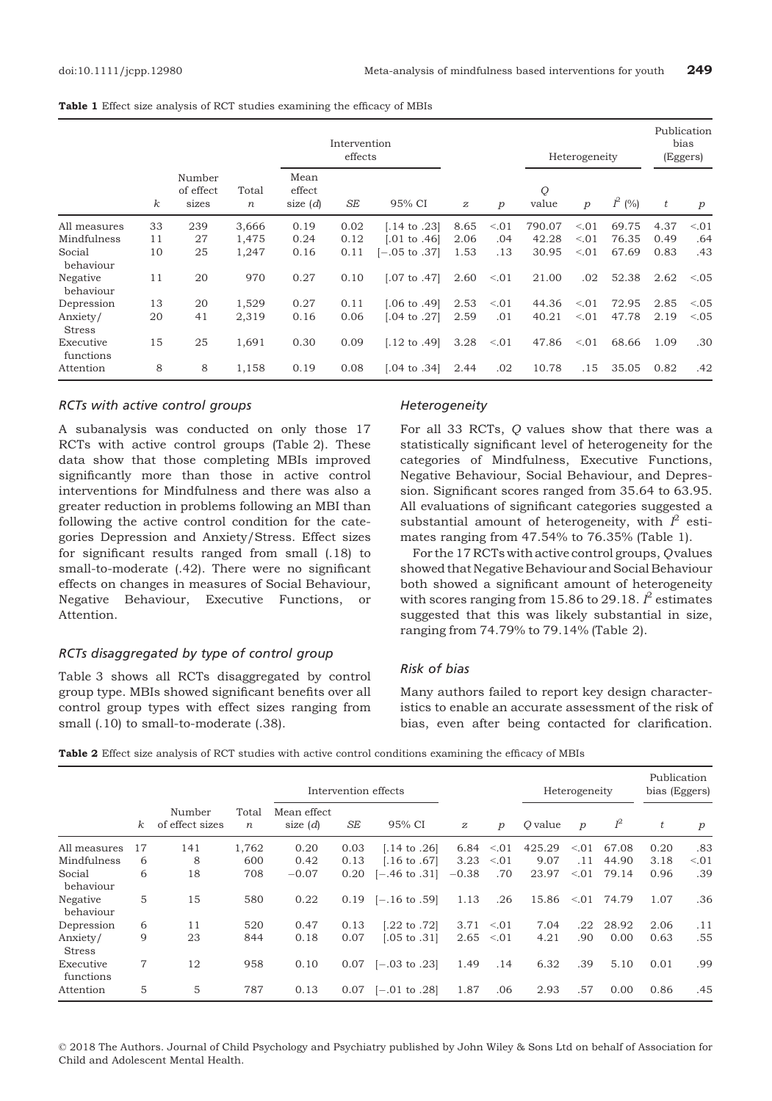|  |  |  |  |  |  |  | Table 1 Effect size analysis of RCT studies examining the efficacy of MBIs |  |  |  |  |
|--|--|--|--|--|--|--|----------------------------------------------------------------------------|--|--|--|--|
|--|--|--|--|--|--|--|----------------------------------------------------------------------------|--|--|--|--|

|                           |          |                              |                           |                              | Intervention<br>effects |                         |                  |        |            | Heterogeneity |           |      | Publication<br>bias<br>(Eggers) |
|---------------------------|----------|------------------------------|---------------------------|------------------------------|-------------------------|-------------------------|------------------|--------|------------|---------------|-----------|------|---------------------------------|
|                           | $\kappa$ | Number<br>of effect<br>sizes | Total<br>$\boldsymbol{n}$ | Mean<br>effect<br>size $(d)$ | SE                      | 95% CI                  | $\boldsymbol{z}$ | p      | Q<br>value | p             | $I^2$ (%) | t    | p                               |
| All measures              | 33       | 239                          | 3.666                     | 0.19                         | 0.02                    | [.14 to .23]            | 8.65             | < 0.01 | 790.07     | < 0.01        | 69.75     | 4.37 | < 0.01                          |
| Mindfulness               | 11       | 27                           | 1,475                     | 0.24                         | 0.12                    | $[.01 \text{ to } .46]$ | 2.06             | .04    | 42.28      | < 0.01        | 76.35     | 0.49 | .64                             |
| Social<br>behaviour       | 10       | 25                           | 1,247                     | 0.16                         | 0.11                    | $[-.05$ to $.37]$       | 1.53             | .13    | 30.95      | < 0.01        | 67.69     | 0.83 | .43                             |
| Negative<br>behaviour     | 11       | 20                           | 970                       | 0.27                         | 0.10                    | $[.07 \text{ to } .47]$ | 2.60             | < 0.01 | 21.00      | .02           | 52.38     | 2.62 | < 0.05                          |
| Depression                | 13       | 20                           | 1,529                     | 0.27                         | 0.11                    | $[.06 \text{ to } .49]$ | 2.53             | < 0.01 | 44.36      | < 0.01        | 72.95     | 2.85 | < 0.05                          |
| Anxiety/<br><b>Stress</b> | 20       | 41                           | 2,319                     | 0.16                         | 0.06                    | $[.04 \text{ to } .27]$ | 2.59             | .01    | 40.21      | < 0.01        | 47.78     | 2.19 | < 0.05                          |
| Executive<br>functions    | 15       | 25                           | 1,691                     | 0.30                         | 0.09                    | $[.12 \text{ to } .49]$ | 3.28             | < 0.01 | 47.86      | < 0.01        | 68.66     | 1.09 | .30                             |
| Attention                 | 8        | 8                            | 1,158                     | 0.19                         | 0.08                    | $[.04 \text{ to } .34]$ | 2.44             | .02    | 10.78      | .15           | 35.05     | 0.82 | .42                             |

#### RCTs with active control groups

A subanalysis was conducted on only those 17 RCTs with active control groups (Table 2). These data show that those completing MBIs improved significantly more than those in active control interventions for Mindfulness and there was also a greater reduction in problems following an MBI than following the active control condition for the categories Depression and Anxiety/Stress. Effect sizes for significant results ranged from small (.18) to small-to-moderate (.42). There were no significant effects on changes in measures of Social Behaviour, Negative Behaviour, Executive Functions, or Attention.

# RCTs disaggregated by type of control group

Table 3 shows all RCTs disaggregated by control group type. MBIs showed significant benefits over all control group types with effect sizes ranging from small (.10) to small-to-moderate (.38).

#### Heterogeneity

For all 33 RCTs, Q values show that there was a statistically significant level of heterogeneity for the categories of Mindfulness, Executive Functions, Negative Behaviour, Social Behaviour, and Depression. Significant scores ranged from 35.64 to 63.95. All evaluations of significant categories suggested a substantial amount of heterogeneity, with  $l^2$  estimates ranging from 47.54% to 76.35% (Table 1).

For the 17 RCTs with active control groups, Q values showed that Negative Behaviour and Social Behaviour both showed a significant amount of heterogeneity with scores ranging from 15.86 to 29.18.  $l^2$  estimates suggested that this was likely substantial in size, ranging from 74.79% to 79.14% (Table 2).

#### Risk of bias

Many authors failed to report key design characteristics to enable an accurate assessment of the risk of bias, even after being contacted for clarification.

|  | Table 2 Effect size analysis of RCT studies with active control conditions examining the efficacy of MBIs |  |  |  |  |  |  |  |  |  |  |  |
|--|-----------------------------------------------------------------------------------------------------------|--|--|--|--|--|--|--|--|--|--|--|
|--|-----------------------------------------------------------------------------------------------------------|--|--|--|--|--|--|--|--|--|--|--|

|                           |          |                           |                           |                           |           | Intervention effects     |                  |        |         | Heterogeneity    |       | Publication<br>bias (Eggers) |                  |
|---------------------------|----------|---------------------------|---------------------------|---------------------------|-----------|--------------------------|------------------|--------|---------|------------------|-------|------------------------------|------------------|
|                           | $\kappa$ | Number<br>of effect sizes | Total<br>$\boldsymbol{n}$ | Mean effect<br>size $(d)$ | <b>SE</b> | 95% CI                   | $\boldsymbol{z}$ | p      | O value | $\boldsymbol{p}$ | $I^2$ | t                            | $\boldsymbol{p}$ |
| All measures              | 17       | 141                       | 1,762                     | 0.20                      | 0.03      | $[.14 \text{ to } .26]$  | 6.84             | < 0.01 | 425.29  | < 0.01           | 67.08 | 0.20                         | .83              |
| Mindfulness               | 6        | 8                         | 600                       | 0.42                      | 0.13      | $[.16 \text{ to } .67]$  | 3.23             | < 0.01 | 9.07    | .11              | 44.90 | 3.18                         | < 0.01           |
| Social<br>behaviour       | 6        | 18                        | 708                       | $-0.07$                   | 0.20      | $-.46$ to $.31$          | $-0.38$          | .70    | 23.97   | < 01             | 79.14 | 0.96                         | .39              |
| Negative<br>behaviour     | 5        | 15                        | 580                       | 0.22                      |           | $0.19$ [-.16 to .59]     | 1.13             | .26    | 15.86   | < 01             | 74.79 | 1.07                         | .36              |
| Depression                | 6        | 11                        | 520                       | 0.47                      | 0.13      | [.22 to .72]             | 3.71             | < 0.01 | 7.04    | .22              | 28.92 | 2.06                         | .11              |
| Anxiety/<br><b>Stress</b> | 9        | 23                        | 844                       | 0.18                      | 0.07      | $0.05$ to $.31$          | 2.65             | < 0.01 | 4.21    | .90              | 0.00  | 0.63                         | .55              |
| Executive<br>functions    | $\tau$   | 12                        | 958                       | 0.10                      | 0.07      | $[-.03 \text{ to } .23]$ | 1.49             | .14    | 6.32    | .39              | 5.10  | 0.01                         | .99              |
| Attention                 | 5        | 5                         | 787                       | 0.13                      | 0.07      | $[-.01 \text{ to } .28]$ | 1.87             | .06    | 2.93    | .57              | 0.00  | 0.86                         | .45              |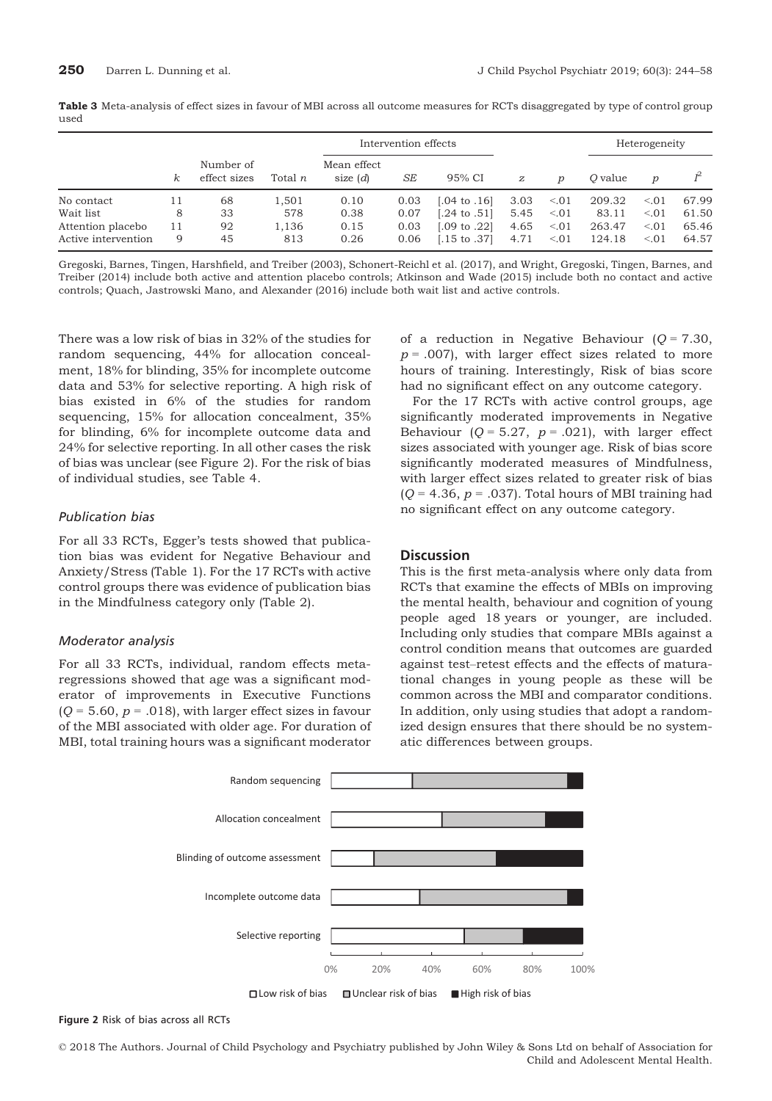| used |                      |               |
|------|----------------------|---------------|
|      | Intervention effects | Heterogeneity |

|                     |    |                           |                |                           | Intervention effects |                         |                  |                  |         | Heterogeneity    |       |
|---------------------|----|---------------------------|----------------|---------------------------|----------------------|-------------------------|------------------|------------------|---------|------------------|-------|
|                     | κ  | Number of<br>effect sizes | Total <i>n</i> | Mean effect<br>size $(d)$ | SE                   | 95% CI                  | $\boldsymbol{z}$ | $\boldsymbol{D}$ | O value | $\boldsymbol{p}$ |       |
| No contact          | 11 | 68                        | 1,501          | 0.10                      | 0.03                 | $[.04 \text{ to } .16]$ | 3.03             | < 0.01           | 209.32  | < 0.01           | 67.99 |
| Wait list           | 8  | 33                        | 578            | 0.38                      | 0.07                 | $[.24 \text{ to } .51]$ | 5.45             | < 0.01           | 83.11   | < 0.01           | 61.50 |
| Attention placebo   | 11 | 92                        | 1,136          | 0.15                      | 0.03                 | $[.09 \text{ to } .22]$ | 4.65             | < 0.01           | 263.47  | < 0.01           | 65.46 |
| Active intervention | 9  | 45                        | 813            | 0.26                      | 0.06                 | $[.15 \text{ to } .37]$ | 4.71             | < 0.01           | 124.18  | < 0.01           | 64.57 |

Gregoski, Barnes, Tingen, Harshfield, and Treiber (2003), Schonert-Reichl et al. (2017), and Wright, Gregoski, Tingen, Barnes, and Treiber (2014) include both active and attention placebo controls; Atkinson and Wade (2015) include both no contact and active controls; Quach, Jastrowski Mano, and Alexander (2016) include both wait list and active controls.

There was a low risk of bias in 32% of the studies for random sequencing, 44% for allocation concealment, 18% for blinding, 35% for incomplete outcome data and 53% for selective reporting. A high risk of bias existed in 6% of the studies for random sequencing, 15% for allocation concealment, 35% for blinding, 6% for incomplete outcome data and 24% for selective reporting. In all other cases the risk of bias was unclear (see Figure 2). For the risk of bias of individual studies, see Table 4.

#### Publication bias

For all 33 RCTs, Egger's tests showed that publication bias was evident for Negative Behaviour and Anxiety/Stress (Table 1). For the 17 RCTs with active control groups there was evidence of publication bias in the Mindfulness category only (Table 2).

#### Moderator analysis

For all 33 RCTs, individual, random effects metaregressions showed that age was a significant moderator of improvements in Executive Functions  $(Q = 5.60, p = .018)$ , with larger effect sizes in favour of the MBI associated with older age. For duration of MBI, total training hours was a significant moderator of a reduction in Negative Behaviour ( $Q = 7.30$ ,  $p = .007$ ), with larger effect sizes related to more hours of training. Interestingly, Risk of bias score had no significant effect on any outcome category.

For the 17 RCTs with active control groups, age significantly moderated improvements in Negative Behaviour ( $Q = 5.27$ ,  $p = .021$ ), with larger effect sizes associated with younger age. Risk of bias score significantly moderated measures of Mindfulness, with larger effect sizes related to greater risk of bias  $(Q = 4.36, p = .037)$ . Total hours of MBI training had no significant effect on any outcome category.

# **Discussion**

This is the first meta-analysis where only data from RCTs that examine the effects of MBIs on improving the mental health, behaviour and cognition of young people aged 18 years or younger, are included. Including only studies that compare MBIs against a control condition means that outcomes are guarded against test–retest effects and the effects of maturational changes in young people as these will be common across the MBI and comparator conditions. In addition, only using studies that adopt a randomized design ensures that there should be no systematic differences between groups.



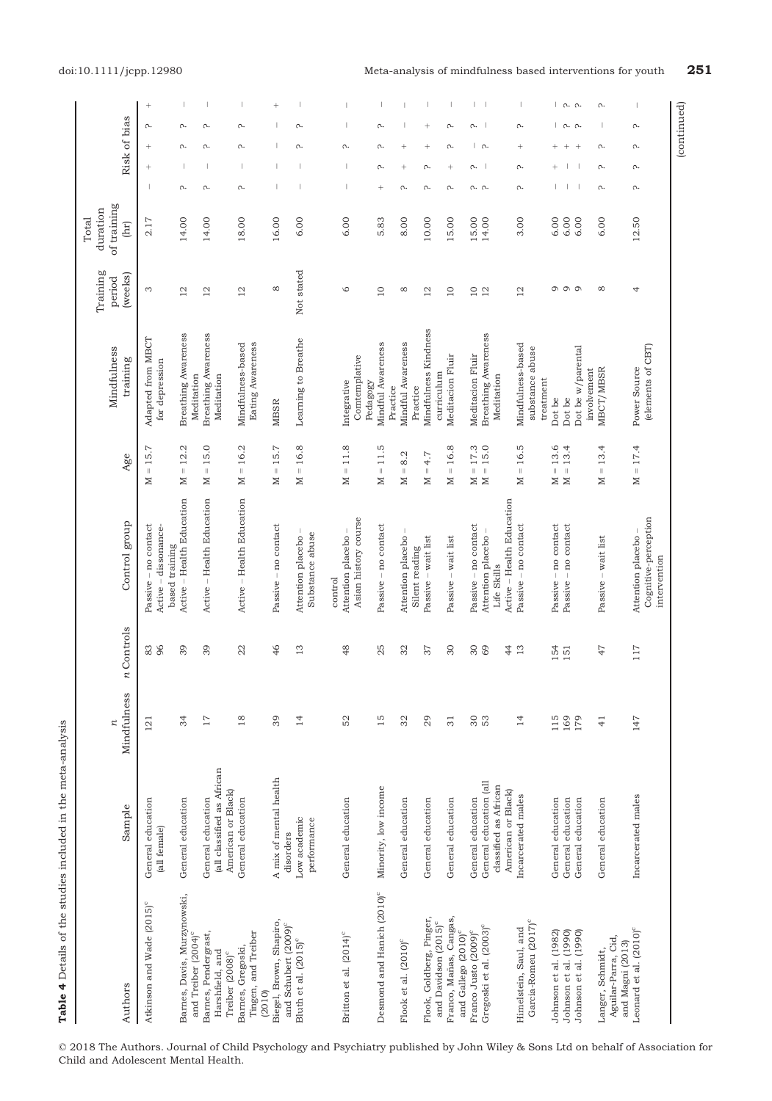| (continued)                                                                            |                                          |                               |                                                |                                          |                                              |                       |                                 |                                                                       |                                                                         |
|----------------------------------------------------------------------------------------|------------------------------------------|-------------------------------|------------------------------------------------|------------------------------------------|----------------------------------------------|-----------------------|---------------------------------|-----------------------------------------------------------------------|-------------------------------------------------------------------------|
|                                                                                        |                                          |                               | (elements of CBT)                              |                                          | Cognitive-perception<br>intervention         |                       |                                 |                                                                       |                                                                         |
| Λ.<br>Λ.<br>Λ.<br>Λ.                                                                   | 12.50                                    | 4                             | Power Source                                   | $= 17.4$<br>Σ                            | Attention placebo                            | $117\,$               | 147                             | Incarcerated males                                                    | Leonard et al. (2010) <sup>c</sup>                                      |
|                                                                                        |                                          |                               |                                                |                                          |                                              |                       |                                 |                                                                       | Aguilar-Parra, Cid,<br>and Magni (2013)                                 |
| Λ.<br>Λ.<br>Λ.<br>Λ.                                                                   | 6.00                                     | ${}^{\circ}$                  | MBCT/MBSR                                      | $= 13.4$<br>N                            | Passive – wait list                          | 47                    | $\frac{1}{4}$                   | General education                                                     | Langer, Schmidt,                                                        |
|                                                                                        |                                          |                               | involvement                                    |                                          |                                              |                       |                                 |                                                                       |                                                                         |
| $\lfloor$ $\alpha$ . $\alpha$ .<br>$\lfloor$ $\alpha$ . $\alpha$ .<br>$^{+}$<br>$^{+}$ | 6.00<br>6.00                             | 000                           | Dot be w/parental<br>Dot be                    | 13.4<br>$\bar{\rm I}$<br>$\geq$          | Passive - no contact                         |                       | 169<br>179                      | General education<br>General education                                | Johnson et al. (1990)<br>Johnson et al. (1990)                          |
| $\ddot{}$<br>$^{+}$                                                                    | 6.00                                     |                               | Dot be                                         | $= 13.6$<br>Z                            | Passive - no contact                         | 154<br>151            | 115                             | General education                                                     | Johnson et al. (1982)                                                   |
|                                                                                        |                                          |                               | treatment                                      |                                          |                                              |                       |                                 |                                                                       |                                                                         |
| Λ.<br>$^{+}$<br>Λ.<br>Λ.                                                               | 3.00                                     | $^{12}$                       | Mindfulness-based<br>substance abuse           | $\parallel$<br>Z                         | Passive - no contact                         |                       | $\overline{4}$                  | Incarcerated males                                                    | Garcia-Romeu (2017) <sup>c</sup><br>Himelstein, Saul, and               |
|                                                                                        |                                          |                               |                                                | 16.5                                     | Active – Health Education                    | 4<br>13               |                                 | American or Black)                                                    |                                                                         |
|                                                                                        |                                          |                               | Meditation                                     |                                          | Life Skills                                  |                       |                                 | classified as African                                                 |                                                                         |
| Λ.<br>م ا<br>Λ.<br>n. n.                                                               | 15.00<br>14.00                           | $\overline{10}$<br>12         | Breathing Awareness<br>Meditacion Fluir        | $= 17.3$<br>$= 15.0$<br>$\geq$<br>$\geq$ | Passive – no contact<br>Attention placebo    | 30<br>69              | 30<br>53                        | General education (all<br>General education                           | Gregoski et al. (2003) <sup>c</sup><br>Franco Justo (2009) <sup>c</sup> |
|                                                                                        |                                          |                               |                                                |                                          |                                              |                       |                                 |                                                                       | and Gallego (2010) <sup>c</sup>                                         |
| Λ.<br>Λ.<br>$\! + \!\!\!\!$<br>Λ.                                                      | 15.00                                    | $\overline{10}$               | Meditacion Fluir<br>curriculum                 | $= 16.8$<br>N                            | Passive – wait list                          | 30                    | 31                              | General education                                                     | Franco, Mañas, Cangas,<br>and Davidson (2015) <sup>c</sup>              |
| $^{+}$<br>$^{+}$<br>$\Omega$<br>Λ.                                                     | 10.00                                    | 12                            | Mindfulness Kindness<br>Practice               | 4.7<br>$\parallel$<br>$\geq$             | Passive - wait list<br>Silent reading        | 37                    | 29                              | General education                                                     | Flook, Goldberg, Pinger,                                                |
| $^{+}$<br>$^{+}$<br>Λ.                                                                 | 8.00                                     | ${}^{\circ}$                  | Mindful Awareness<br>Practice                  | $= 8.2$<br>Σ                             | Attention placebo                            | 32                    | 32                              | General education                                                     | Flook et al. (2010) <sup>c</sup>                                        |
| Λ.<br>Λ.<br>Λ.<br>$^{+}$                                                               | 5.83                                     | $\overline{10}$               | Mindful Awareness<br>Comtemplative<br>Pedagogy | $= 11.5$<br>Σ                            | Asian history course<br>Passive - no contact | 25                    | 15                              | Minority, low income                                                  | Desmond and Hanich (2010) <sup>c</sup>                                  |
| Λ.                                                                                     | 6.00                                     | $\circ$                       | Integrative                                    | $= 11.8$<br>⊠                            | Attention placebo -<br>control               | 48                    | 52                              | General education                                                     | Britton et al. (2014) <sup>c</sup>                                      |
|                                                                                        |                                          |                               |                                                |                                          | Substance abuse                              |                       |                                 | performance                                                           |                                                                         |
| $\sim$<br>Λ.                                                                           | 6.00                                     | Not stated                    | Learning to Breathe                            | 16.8<br>$\parallel$<br>N                 | Attention placebo                            | 13                    | $\overline{4}$                  | Low academic                                                          | Bluth et al. (2015) <sup>c</sup>                                        |
| $^{+}$                                                                                 | 16.00                                    | ${}^{\circ}$                  | <b>MBSR</b>                                    | $= 15.7$<br>Z                            | Passive – no contact                         | 46                    | 39                              | A mix of mental health<br>disorders                                   | Biegel, Brown, Shapiro,<br>and Schubert (2009) <sup>c</sup>             |
| Λ.<br>Λ.<br>T<br>Λ.                                                                    | 18.00                                    | $\overline{2}$                | Eating Awareness<br>Mindfulness-based          | 16.2<br>$\parallel$<br>Z                 | Active - Health Education                    | 22                    | 18                              | General education                                                     | Tingen, and Treiber<br>Barnes, Gregoski,<br>(2010)                      |
| Λ.<br>Λ.<br>1<br>Λ.                                                                    | 14.00                                    | $\overline{a}$                | Breathing Awareness<br>Meditation              | 15.0<br>$\left\vert {}\right\vert$<br>Σ  | Active - Health Education                    | 39                    | 17                              | (all classified as African<br>American or Black)<br>General education | Barnes, Pendergrast,<br>Harshfield, and<br>Treiber (2008) <sup>c</sup>  |
| Λ.<br>Λ.<br>Λ.                                                                         | 14.00                                    | $\overline{c}$                | Breathing Awareness<br>Meditation              | 12.2<br>$\parallel$<br>$\geq$            | Active – Health Education                    | 39                    | 34                              | General education                                                     | Barnes, Davis, Murzynowski,<br>and Treiber (2004) <sup>c</sup>          |
|                                                                                        |                                          |                               | for depression                                 |                                          | Active – dissonance-<br>based training       | 96                    |                                 | (all female)                                                          |                                                                         |
| $^{+}$<br>Λ.<br>$^+$<br>$\! + \!\!\!\!$                                                | 2.17                                     | S                             | Adapted from MBCT                              | $= 15.7$<br>Σ                            | contact<br>Passive - no                      | 83                    | 121                             | General education                                                     | Atkinson and Wade (2015) <sup>c</sup>                                   |
| Risk of bias                                                                           | of training<br>duration<br>Total<br>(hr) | Training<br>(weeks)<br>period | Mindfulness<br>training                        | Age                                      | Control group                                | Controls<br>$\approx$ | Mindfulness<br>$\boldsymbol{n}$ | Sample                                                                | Authors                                                                 |
|                                                                                        |                                          |                               |                                                |                                          |                                              |                       |                                 |                                                                       |                                                                         |

Table 4 Details of the studies included in the meta-analysis

Table 4 Details of the studies included in the meta-analysis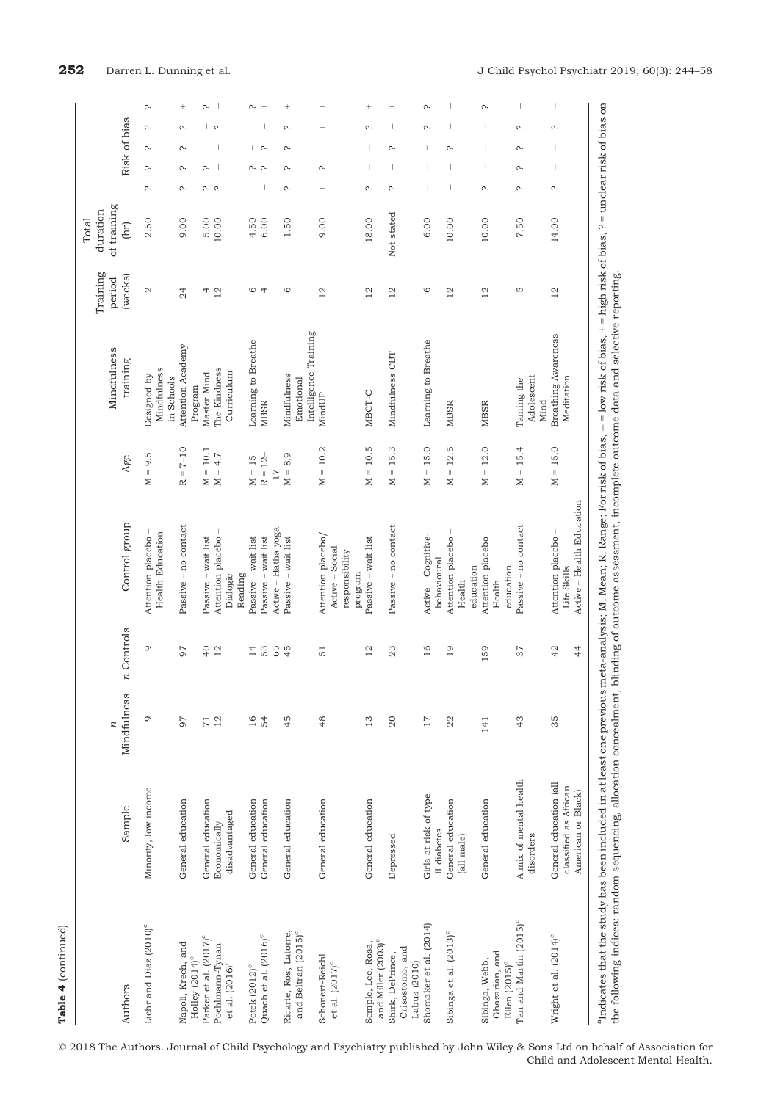| d |
|---|
|   |
|   |
|   |

| Authors                                                                            | Sample                                                                | Mindfulness           | $n$ Controls                     | Control group                                                     | Age                                     | Mindfulness<br>training                           |
|------------------------------------------------------------------------------------|-----------------------------------------------------------------------|-----------------------|----------------------------------|-------------------------------------------------------------------|-----------------------------------------|---------------------------------------------------|
| Liehr and Diaz (2010) <sup>c</sup>                                                 | Minority, low income                                                  | Q                     | G                                | <b>Health Education</b><br>Attention placebo                      | 9.5<br>$\parallel$<br>Σ                 | Mindfulness<br>Designed by<br>in Schools          |
| Napoli, Krech, and<br>Holley (2014) <sup>c</sup>                                   | General education                                                     | 56                    | 97                               | Passive – no contact                                              | $T - 10$<br>$\approx$                   | Attention Academy<br>Program                      |
| Parker et al. (2017) <sup>c</sup><br>Poehlmann-Tynan<br>et al. (2016) <sup>c</sup> | General education<br>disadvantaged<br>Economically                    | 12<br>$\overline{7}1$ | $\frac{4}{1}$<br>$\overline{12}$ | Passive - wait list<br>Attention placebo<br>Dialogic              | $= 10.1$<br>$M = 4.7$<br>Σ              | The Kindness<br>Curriculum<br>Master Mind         |
|                                                                                    |                                                                       |                       |                                  | Reading                                                           |                                         |                                                   |
| Quach et al. (2016) <sup>c</sup><br>Potek (2012) <sup>c</sup>                      | General education<br>General education                                | $\overline{16}$<br>54 | 53<br>65<br>$\overline{4}$       | Active - Hatha yoga<br>Passive - wait list<br>Passive – wait list | $M = 15$<br>$R = 12$<br>$\overline{17}$ | Learning to Breathe<br><b>MBSR</b>                |
| Ricarte, Ros, Latorre,<br>and Beltran (2015) <sup>c</sup>                          | General education                                                     | 45                    | 45                               | Passive - wait list                                               | $M = 8.9$                               | Intelligence Training<br>Mindfulness<br>Emotional |
| Schonert-Reichl<br>et al. $(2017)$ <sup>c</sup>                                    | General education                                                     | $\frac{8}{3}$         | 51                               | Attention placebo/<br>Active - Social<br>responsibility           | $= 10.2$<br>N                           | MindUP                                            |
| and Miller (2003) <sup>c</sup><br>Semple, Lee, Rosa,                               | General education                                                     | $\frac{3}{2}$         | $\overline{\mathbf{C}}$          | Passive – wait list<br>program                                    | $= 10.5$<br>$\geq$                      | MBCT-C                                            |
| Crisostomo, and<br>Shirk, DePrince,<br>Labus (2010)                                | Depressed                                                             | $\Omega$              | 23                               | Passive – no contact                                              | $= 15.3$<br>Σ                           | Mindfulness CBT                                   |
| Shomaker et al. (2014)                                                             | Girls at risk of type<br>II diabetes                                  | 17                    | 16                               | Active – Cognitive-<br>behavioural                                | $= 15.0$<br>Σ                           | Learning to Breathe                               |
| Sibinga et al. (2013) <sup>c</sup>                                                 | General education<br>(all male)                                       | 22                    | $\overline{19}$                  | Attention placebo<br>education<br>Health                          | 12.5<br>$\parallel$<br>$\geq$           | MBSR                                              |
| Ghazarian, and<br>Sibinga, Webb,<br>Ellen (2015) <sup>c</sup>                      | General education                                                     | 141                   | 159                              | Attention placebo<br>education<br>Health                          | 12.0<br>$\parallel$<br>$\geq$           | <b>MBSR</b>                                       |
| Tan and Martin (2015) <sup>c</sup>                                                 | of mental health<br>disorders<br>A mix                                | 43                    | 37                               | Passive – no contact                                              | $= 15.4$<br>Σ                           | Adolescent<br>Taming the<br>Mind                  |
| Wright et al. (2014) <sup>c</sup>                                                  | General education (all<br>classified as African<br>American or Black) | 35                    | 42<br>$\frac{4}{4}$              | Active - Health Education<br>Attention placebo-<br>Life Skills    | $= 15.0$<br>Σ                           | Breathing Awareness<br>Meditation                 |

| Authors                                                         | Sample                                                                | Mindfulness<br>r | Controls<br>n       | Control group                                                      | Age                                     | Mindfulness<br>training                  | Training<br>(weeks)<br>period | of training<br>duration<br>Total<br>(hr) |           | Risk of bias             |                |        |        |
|-----------------------------------------------------------------|-----------------------------------------------------------------------|------------------|---------------------|--------------------------------------------------------------------|-----------------------------------------|------------------------------------------|-------------------------------|------------------------------------------|-----------|--------------------------|----------------|--------|--------|
| Liehr and Diaz (2010) <sup>c</sup>                              | Minority, low income                                                  | Q                | G                   | <b>Health Education</b><br>Attention placebo                       | S<br>ö<br>$\lvert \rvert$<br>⊠          | Mindfulness<br>Designed by<br>in Schools | $\mathbf{C}$                  | 2.50                                     | Λ.        | Λ.                       | Λ.             | Λ.     | Λ.     |
| Napoli, Krech, and                                              | General education                                                     | 97               | 97                  | Passive - no contact                                               | $T - 10$<br>$\approx$                   | Attention Academy                        | 24                            | 9.00                                     | Λ.        | Λ.                       | Λ.             | Λ.     |        |
| Parker et al. (2017) <sup>c</sup><br>Holley (2014) <sup>c</sup> | General education                                                     |                  | $^{40}$             | Passive - wait list                                                | $= 10.1$<br>Σ                           | Master Mind<br>Program                   | 4                             | 5.00                                     |           | Λ.                       | $\overline{+}$ | Ш      | Λ.     |
| Poehlmann-Tynan                                                 | Economically                                                          | 71               | 12                  | Attention placebo                                                  | 4.7<br>$\lvert \rvert$<br>$\geq$        | The Kindness                             | 12                            | 10.00                                    | n. n.     | ш                        |                | r.     |        |
| et al. $(2016)^\circ$                                           | disadvantaged                                                         |                  |                     | Reading<br>Dialogic                                                |                                         | Curriculum                               |                               |                                          |           |                          |                |        |        |
| Potek (2012) <sup>c</sup>                                       | General education                                                     | 16               | $\overline{4}$      | Passive - wait list                                                | $= 15$<br>⊠                             | Learning to Breathe                      | $\circ$                       | 4.50                                     |           | Λ.                       | $^{+}$         |        | Λ.     |
| Quach et al. (2016) <sup>c</sup>                                | General education                                                     | 54               | 65<br>53            | Active - Hatha yoga<br>Passive - wait list                         | $R = 12$<br>17                          | <b>MBSR</b>                              | 4                             | 6.00                                     |           | Λ.                       | Λ.             |        | $+$    |
| Ricarte, Ros, Latorre,                                          | General education                                                     | 45               | 45                  | Passive - wait list                                                | $\circ$<br>∞ं<br>$\mid \mid$<br>$\geq$  | Mindfulness                              | $\circ$                       | 1.50                                     | $\Lambda$ | Λ.                       | Λ.             | Λ.     | $^{+}$ |
| and Beltran (2015) <sup>c</sup>                                 |                                                                       |                  |                     |                                                                    |                                         | Intelligence Training<br>Emotional       |                               |                                          |           |                          |                |        |        |
| Schonert-Reichl<br>et al. $(2017)$ <sup>c</sup>                 | General education                                                     | $\frac{8}{3}$    | $\overline{51}$     | Attention placebo/<br>Active - Social<br>responsibility<br>program | $= 10.2$<br>Σ                           | MindUP                                   | 12                            | 9.00                                     | $^{+}$    | Λ.                       | $^{+}$         | $^{+}$ | $^{+}$ |
| and Miller (2003) <sup>c</sup><br>Semple, Lee, Rosa,            | General education                                                     | $13$             | $\overline{c}$      | Passive - wait list                                                | $= 10.5$<br>≿                           | MBCT-C                                   | $\overline{c}$                | 18.00                                    | Λ.        |                          |                | Λ.     | $^{+}$ |
| Crisostomo, and<br>Shirk, DePrince,<br>Labus (2010)             | Depressed                                                             | $\mathcal{Q}$    | 23                  | Passive – no contact                                               | $= 15.3$<br>Σ                           | Mindfulness CBT                          | $\overline{c}$                | Not stated                               | Λ.        |                          | Λ.             |        | $^{+}$ |
| Shomaker et al. (2014)                                          | Girls at risk of type<br>II diabetes                                  | $17\,$           | 16                  | Active - Cognitive-<br>behavioural                                 | $= 15.0$<br>Σ                           | Learning to Breathe                      | $\circ$                       | 6.00                                     |           | $\overline{\phantom{a}}$ | $^{+}$         | Λ.     | Λ.     |
| Sibinga et al. (2013) <sup>c</sup>                              | General education<br>(all male)                                       | 22               | $\overline{19}$     | Attention placebo<br>education<br>Health                           | S<br>$\overline{5}$<br>$\parallel$<br>Σ | <b>MBSR</b>                              | 12                            | 10.00                                    |           |                          | Λ.             |        |        |
| Ghazarian, and<br>Sibinga, Webb,<br>Ellen (2015) <sup>c</sup>   | General education                                                     | 141              | 159                 | Attention placebo<br>education<br>Health                           | $= 12.0$<br>Σ                           | <b>MBSR</b>                              | 12                            | 10.00                                    | Λ.        |                          |                |        | Λ.     |
| Tan and Martin (2015) <sup>c</sup>                              | A mix of mental health<br>disorders                                   | 43               | 37                  | Passive - no contact                                               | $= 15.4$<br>Z                           | Adolescent<br>Taming the<br>Mind         | Ю                             | 7.50                                     | Λ.        | Λ.                       | Λ.             | Λ.     | 1      |
| Wright et al. (2014) <sup>c</sup>                               | General education (all<br>classified as African<br>American or Black) | 35               | 42<br>$\frac{4}{4}$ | Active - Health Education<br>Attention placebo -<br>Life Skills    | $= 15.0$<br>$\geq$                      | Breathing Awareness<br>Meditation        | 12                            | 14.00                                    | Λ.        |                          | ı              | Λ.     |        |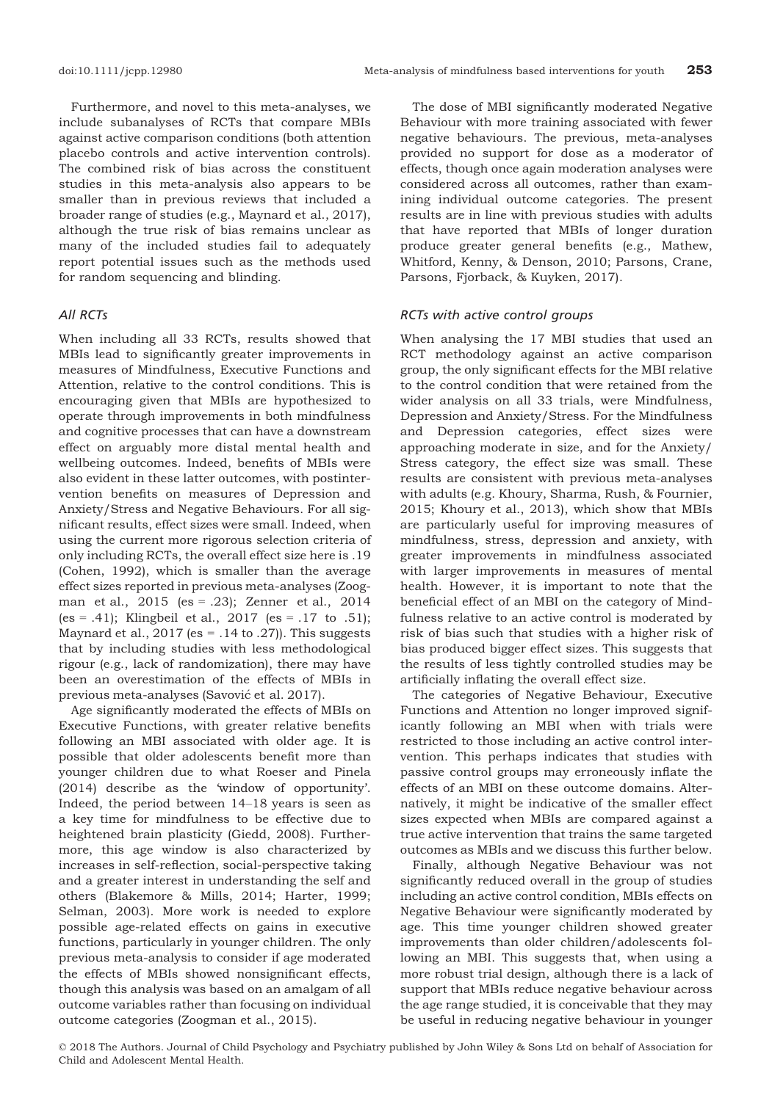Furthermore, and novel to this meta-analyses, we include subanalyses of RCTs that compare MBIs against active comparison conditions (both attention placebo controls and active intervention controls). The combined risk of bias across the constituent studies in this meta-analysis also appears to be smaller than in previous reviews that included a broader range of studies (e.g., Maynard et al., 2017), although the true risk of bias remains unclear as many of the included studies fail to adequately report potential issues such as the methods used for random sequencing and blinding.

# All RCTs

When including all 33 RCTs, results showed that MBIs lead to significantly greater improvements in measures of Mindfulness, Executive Functions and Attention, relative to the control conditions. This is encouraging given that MBIs are hypothesized to operate through improvements in both mindfulness and cognitive processes that can have a downstream effect on arguably more distal mental health and wellbeing outcomes. Indeed, benefits of MBIs were also evident in these latter outcomes, with postintervention benefits on measures of Depression and Anxiety/Stress and Negative Behaviours. For all significant results, effect sizes were small. Indeed, when using the current more rigorous selection criteria of only including RCTs, the overall effect size here is .19 (Cohen, 1992), which is smaller than the average effect sizes reported in previous meta-analyses (Zoogman et al., 2015 (es = .23); Zenner et al., 2014 (es = .41); Klingbeil et al., 2017 (es = .17 to .51); Maynard et al.,  $2017$  (es = .14 to .27)). This suggests that by including studies with less methodological rigour (e.g., lack of randomization), there may have been an overestimation of the effects of MBIs in previous meta-analyses (Savović et al. 2017).

Age significantly moderated the effects of MBIs on Executive Functions, with greater relative benefits following an MBI associated with older age. It is possible that older adolescents benefit more than younger children due to what Roeser and Pinela (2014) describe as the 'window of opportunity'. Indeed, the period between 14–18 years is seen as a key time for mindfulness to be effective due to heightened brain plasticity (Giedd, 2008). Furthermore, this age window is also characterized by increases in self-reflection, social-perspective taking and a greater interest in understanding the self and others (Blakemore & Mills, 2014; Harter, 1999; Selman, 2003). More work is needed to explore possible age-related effects on gains in executive functions, particularly in younger children. The only previous meta-analysis to consider if age moderated the effects of MBIs showed nonsignificant effects, though this analysis was based on an amalgam of all outcome variables rather than focusing on individual outcome categories (Zoogman et al., 2015).

The dose of MBI significantly moderated Negative Behaviour with more training associated with fewer negative behaviours. The previous, meta-analyses provided no support for dose as a moderator of effects, though once again moderation analyses were considered across all outcomes, rather than examining individual outcome categories. The present results are in line with previous studies with adults that have reported that MBIs of longer duration produce greater general benefits (e.g., Mathew, Whitford, Kenny, & Denson, 2010; Parsons, Crane, Parsons, Fjorback, & Kuyken, 2017).

#### RCTs with active control groups

When analysing the 17 MBI studies that used an RCT methodology against an active comparison group, the only significant effects for the MBI relative to the control condition that were retained from the wider analysis on all 33 trials, were Mindfulness, Depression and Anxiety/Stress. For the Mindfulness and Depression categories, effect sizes were approaching moderate in size, and for the Anxiety/ Stress category, the effect size was small. These results are consistent with previous meta-analyses with adults (e.g. Khoury, Sharma, Rush, & Fournier, 2015; Khoury et al., 2013), which show that MBIs are particularly useful for improving measures of mindfulness, stress, depression and anxiety, with greater improvements in mindfulness associated with larger improvements in measures of mental health. However, it is important to note that the beneficial effect of an MBI on the category of Mindfulness relative to an active control is moderated by risk of bias such that studies with a higher risk of bias produced bigger effect sizes. This suggests that the results of less tightly controlled studies may be artificially inflating the overall effect size.

The categories of Negative Behaviour, Executive Functions and Attention no longer improved significantly following an MBI when with trials were restricted to those including an active control intervention. This perhaps indicates that studies with passive control groups may erroneously inflate the effects of an MBI on these outcome domains. Alternatively, it might be indicative of the smaller effect sizes expected when MBIs are compared against a true active intervention that trains the same targeted outcomes as MBIs and we discuss this further below.

Finally, although Negative Behaviour was not significantly reduced overall in the group of studies including an active control condition, MBIs effects on Negative Behaviour were significantly moderated by age. This time younger children showed greater improvements than older children/adolescents following an MBI. This suggests that, when using a more robust trial design, although there is a lack of support that MBIs reduce negative behaviour across the age range studied, it is conceivable that they may be useful in reducing negative behaviour in younger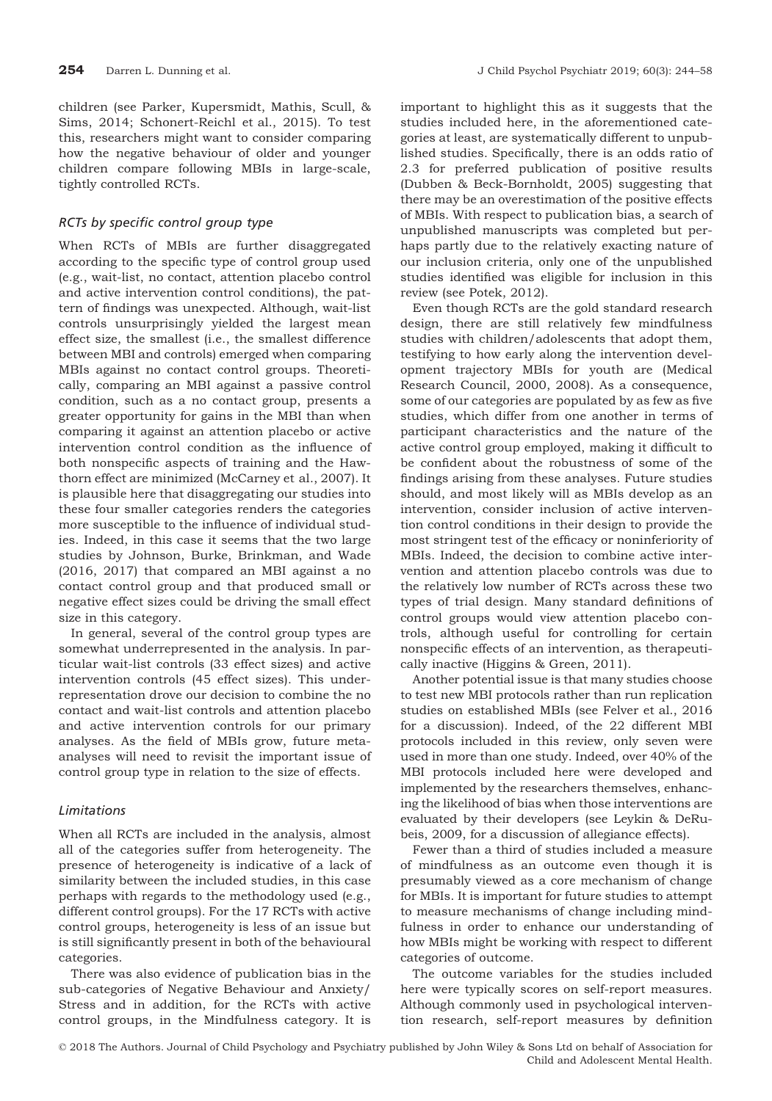children (see Parker, Kupersmidt, Mathis, Scull, & Sims, 2014; Schonert-Reichl et al., 2015). To test this, researchers might want to consider comparing how the negative behaviour of older and younger children compare following MBIs in large-scale, tightly controlled RCTs.

# RCTs by specific control group type

When RCTs of MBIs are further disaggregated according to the specific type of control group used (e.g., wait-list, no contact, attention placebo control and active intervention control conditions), the pattern of findings was unexpected. Although, wait-list controls unsurprisingly yielded the largest mean effect size, the smallest (i.e., the smallest difference between MBI and controls) emerged when comparing MBIs against no contact control groups. Theoretically, comparing an MBI against a passive control condition, such as a no contact group, presents a greater opportunity for gains in the MBI than when comparing it against an attention placebo or active intervention control condition as the influence of both nonspecific aspects of training and the Hawthorn effect are minimized (McCarney et al., 2007). It is plausible here that disaggregating our studies into these four smaller categories renders the categories more susceptible to the influence of individual studies. Indeed, in this case it seems that the two large studies by Johnson, Burke, Brinkman, and Wade (2016, 2017) that compared an MBI against a no contact control group and that produced small or negative effect sizes could be driving the small effect size in this category.

In general, several of the control group types are somewhat underrepresented in the analysis. In particular wait-list controls (33 effect sizes) and active intervention controls (45 effect sizes). This underrepresentation drove our decision to combine the no contact and wait-list controls and attention placebo and active intervention controls for our primary analyses. As the field of MBIs grow, future metaanalyses will need to revisit the important issue of control group type in relation to the size of effects.

# Limitations

When all RCTs are included in the analysis, almost all of the categories suffer from heterogeneity. The presence of heterogeneity is indicative of a lack of similarity between the included studies, in this case perhaps with regards to the methodology used (e.g., different control groups). For the 17 RCTs with active control groups, heterogeneity is less of an issue but is still significantly present in both of the behavioural categories.

There was also evidence of publication bias in the sub-categories of Negative Behaviour and Anxiety/ Stress and in addition, for the RCTs with active control groups, in the Mindfulness category. It is

important to highlight this as it suggests that the studies included here, in the aforementioned categories at least, are systematically different to unpublished studies. Specifically, there is an odds ratio of 2.3 for preferred publication of positive results (Dubben & Beck-Bornholdt, 2005) suggesting that there may be an overestimation of the positive effects of MBIs. With respect to publication bias, a search of unpublished manuscripts was completed but perhaps partly due to the relatively exacting nature of our inclusion criteria, only one of the unpublished studies identified was eligible for inclusion in this review (see Potek, 2012).

Even though RCTs are the gold standard research design, there are still relatively few mindfulness studies with children/adolescents that adopt them, testifying to how early along the intervention development trajectory MBIs for youth are (Medical Research Council, 2000, 2008). As a consequence, some of our categories are populated by as few as five studies, which differ from one another in terms of participant characteristics and the nature of the active control group employed, making it difficult to be confident about the robustness of some of the findings arising from these analyses. Future studies should, and most likely will as MBIs develop as an intervention, consider inclusion of active intervention control conditions in their design to provide the most stringent test of the efficacy or noninferiority of MBIs. Indeed, the decision to combine active intervention and attention placebo controls was due to the relatively low number of RCTs across these two types of trial design. Many standard definitions of control groups would view attention placebo controls, although useful for controlling for certain nonspecific effects of an intervention, as therapeutically inactive (Higgins & Green, 2011).

Another potential issue is that many studies choose to test new MBI protocols rather than run replication studies on established MBIs (see Felver et al., 2016 for a discussion). Indeed, of the 22 different MBI protocols included in this review, only seven were used in more than one study. Indeed, over 40% of the MBI protocols included here were developed and implemented by the researchers themselves, enhancing the likelihood of bias when those interventions are evaluated by their developers (see Leykin & DeRubeis, 2009, for a discussion of allegiance effects).

Fewer than a third of studies included a measure of mindfulness as an outcome even though it is presumably viewed as a core mechanism of change for MBIs. It is important for future studies to attempt to measure mechanisms of change including mindfulness in order to enhance our understanding of how MBIs might be working with respect to different categories of outcome.

The outcome variables for the studies included here were typically scores on self-report measures. Although commonly used in psychological intervention research, self-report measures by definition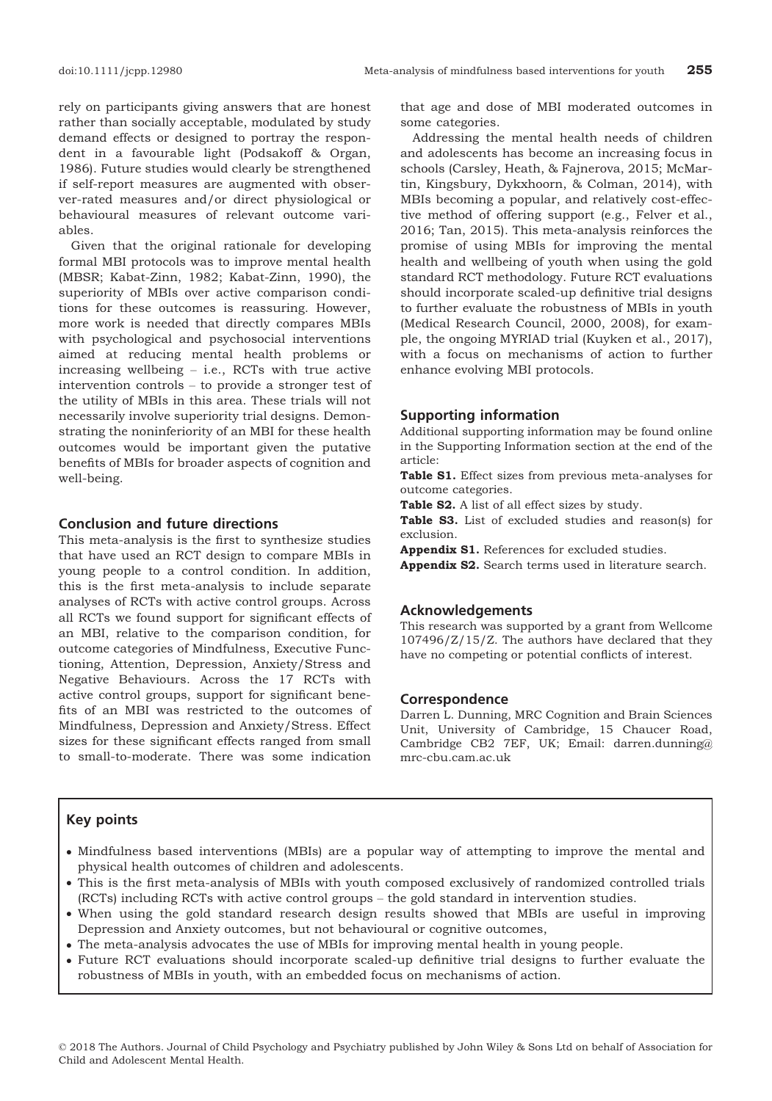rely on participants giving answers that are honest rather than socially acceptable, modulated by study demand effects or designed to portray the respondent in a favourable light (Podsakoff & Organ, 1986). Future studies would clearly be strengthened if self-report measures are augmented with observer-rated measures and/or direct physiological or behavioural measures of relevant outcome variables.

Given that the original rationale for developing formal MBI protocols was to improve mental health (MBSR; Kabat-Zinn, 1982; Kabat-Zinn, 1990), the superiority of MBIs over active comparison conditions for these outcomes is reassuring. However, more work is needed that directly compares MBIs with psychological and psychosocial interventions aimed at reducing mental health problems or increasing wellbeing – i.e., RCTs with true active intervention controls – to provide a stronger test of the utility of MBIs in this area. These trials will not necessarily involve superiority trial designs. Demonstrating the noninferiority of an MBI for these health outcomes would be important given the putative benefits of MBIs for broader aspects of cognition and well-being.

### Conclusion and future directions

This meta-analysis is the first to synthesize studies that have used an RCT design to compare MBIs in young people to a control condition. In addition, this is the first meta-analysis to include separate analyses of RCTs with active control groups. Across all RCTs we found support for significant effects of an MBI, relative to the comparison condition, for outcome categories of Mindfulness, Executive Functioning, Attention, Depression, Anxiety/Stress and Negative Behaviours. Across the 17 RCTs with active control groups, support for significant benefits of an MBI was restricted to the outcomes of Mindfulness, Depression and Anxiety/Stress. Effect sizes for these significant effects ranged from small to small-to-moderate. There was some indication

that age and dose of MBI moderated outcomes in some categories.

Addressing the mental health needs of children and adolescents has become an increasing focus in schools (Carsley, Heath, & Fajnerova, 2015; McMartin, Kingsbury, Dykxhoorn, & Colman, 2014), with MBIs becoming a popular, and relatively cost-effective method of offering support (e.g., Felver et al., 2016; Tan, 2015). This meta-analysis reinforces the promise of using MBIs for improving the mental health and wellbeing of youth when using the gold standard RCT methodology. Future RCT evaluations should incorporate scaled-up definitive trial designs to further evaluate the robustness of MBIs in youth (Medical Research Council, 2000, 2008), for example, the ongoing MYRIAD trial (Kuyken et al., 2017), with a focus on mechanisms of action to further enhance evolving MBI protocols.

# Supporting information

Additional supporting information may be found online in the Supporting Information section at the end of the article:

Table S1. Effect sizes from previous meta-analyses for outcome categories.

Table S2. A list of all effect sizes by study.

Table S3. List of excluded studies and reason(s) for exclusion.

Appendix S1. References for excluded studies.

Appendix S2. Search terms used in literature search.

#### Acknowledgements

This research was supported by a grant from Wellcome 107496/Z/15/Z. The authors have declared that they have no competing or potential conflicts of interest.

#### Correspondence

Darren L. Dunning, MRC Cognition and Brain Sciences Unit, University of Cambridge, 15 Chaucer Road, Cambridge CB2 7EF, UK; Email: darren.dunning@ mrc-cbu.cam.ac.uk

# Key points

- Mindfulness based interventions (MBIs) are a popular way of attempting to improve the mental and physical health outcomes of children and adolescents.
- This is the first meta-analysis of MBIs with youth composed exclusively of randomized controlled trials (RCTs) including RCTs with active control groups – the gold standard in intervention studies.
- When using the gold standard research design results showed that MBIs are useful in improving Depression and Anxiety outcomes, but not behavioural or cognitive outcomes,
- The meta-analysis advocates the use of MBIs for improving mental health in young people.
- Future RCT evaluations should incorporate scaled-up definitive trial designs to further evaluate the robustness of MBIs in youth, with an embedded focus on mechanisms of action.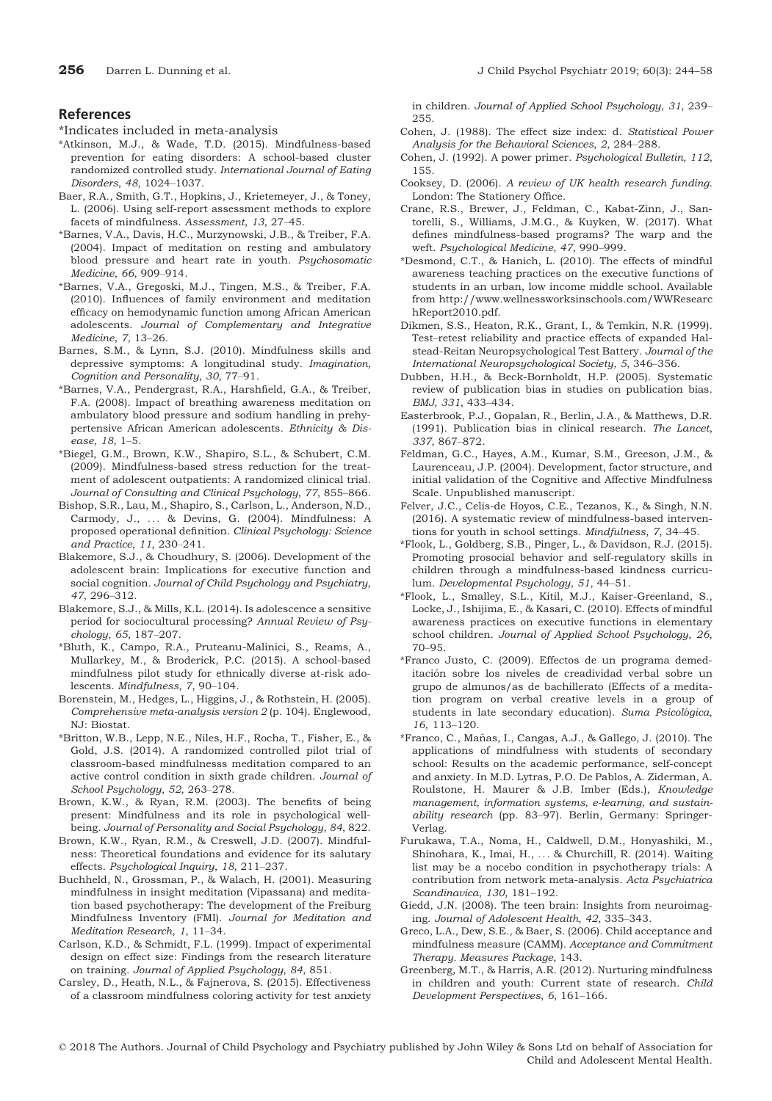# References

\*Indicates included in meta-analysis

- \*Atkinson, M.J., & Wade, T.D. (2015). Mindfulness-based prevention for eating disorders: A school-based cluster randomized controlled study. International Journal of Eating Disorders, 48, 1024–1037.
- Baer, R.A., Smith, G.T., Hopkins, J., Krietemeyer, J., & Toney, L. (2006). Using self-report assessment methods to explore facets of mindfulness. Assessment, 13, 27–45.
- \*Barnes, V.A., Davis, H.C., Murzynowski, J.B., & Treiber, F.A. (2004). Impact of meditation on resting and ambulatory blood pressure and heart rate in youth. Psychosomatic Medicine, 66, 909–914.
- \*Barnes, V.A., Gregoski, M.J., Tingen, M.S., & Treiber, F.A. (2010). Influences of family environment and meditation efficacy on hemodynamic function among African American adolescents. Journal of Complementary and Integrative Medicine, 7, 13–26.
- Barnes, S.M., & Lynn, S.J. (2010). Mindfulness skills and depressive symptoms: A longitudinal study. Imagination, Cognition and Personality, 30, 77–91.
- \*Barnes, V.A., Pendergrast, R.A., Harshfield, G.A., & Treiber, F.A. (2008). Impact of breathing awareness meditation on ambulatory blood pressure and sodium handling in prehypertensive African American adolescents. Ethnicity & Disease, 18, 1–5.
- \*Biegel, G.M., Brown, K.W., Shapiro, S.L., & Schubert, C.M. (2009). Mindfulness-based stress reduction for the treatment of adolescent outpatients: A randomized clinical trial. Journal of Consulting and Clinical Psychology, 77, 855–866.
- Bishop, S.R., Lau, M., Shapiro, S., Carlson, L., Anderson, N.D., Carmody, J., ... & Devins, G. (2004). Mindfulness: A proposed operational definition. Clinical Psychology: Science and Practice, 11, 230–241.
- Blakemore, S.J., & Choudhury, S. (2006). Development of the adolescent brain: Implications for executive function and social cognition. Journal of Child Psychology and Psychiatry, 47, 296–312.
- Blakemore, S.J., & Mills, K.L. (2014). Is adolescence a sensitive period for sociocultural processing? Annual Review of Psychology, 65, 187–207.
- \*Bluth, K., Campo, R.A., Pruteanu-Malinici, S., Reams, A., Mullarkey, M., & Broderick, P.C. (2015). A school-based mindfulness pilot study for ethnically diverse at-risk adolescents. Mindfulness, 7, 90–104.
- Borenstein, M., Hedges, L., Higgins, J., & Rothstein, H. (2005). Comprehensive meta-analysis version 2 (p. 104). Englewood, NJ: Biostat.
- \*Britton, W.B., Lepp, N.E., Niles, H.F., Rocha, T., Fisher, E., & Gold, J.S. (2014). A randomized controlled pilot trial of classroom-based mindfulnesss meditation compared to an active control condition in sixth grade children. Journal of School Psychology, 52, 263–278.
- Brown, K.W., & Ryan, R.M. (2003). The benefits of being present: Mindfulness and its role in psychological wellbeing. Journal of Personality and Social Psychology, 84, 822.
- Brown, K.W., Ryan, R.M., & Creswell, J.D. (2007). Mindfulness: Theoretical foundations and evidence for its salutary effects. Psychological Inquiry, 18, 211–237.
- Buchheld, N., Grossman, P., & Walach, H. (2001). Measuring mindfulness in insight meditation (Vipassana) and meditation based psychotherapy: The development of the Freiburg Mindfulness Inventory (FMI). Journal for Meditation and Meditation Research, 1, 11–34.
- Carlson, K.D., & Schmidt, F.L. (1999). Impact of experimental design on effect size: Findings from the research literature on training. Journal of Applied Psychology, 84, 851.
- Carsley, D., Heath, N.L., & Fajnerova, S. (2015). Effectiveness of a classroom mindfulness coloring activity for test anxiety

in children. Journal of Applied School Psychology, 31, 239– 255.

- Cohen, J. (1988). The effect size index: d. Statistical Power Analysis for the Behavioral Sciences, 2, 284–288.
- Cohen, J. (1992). A power primer. Psychological Bulletin, 112, 155.
- Cooksey, D. (2006). A review of UK health research funding. London: The Stationery Office.
- Crane, R.S., Brewer, J., Feldman, C., Kabat-Zinn, J., Santorelli, S., Williams, J.M.G., & Kuyken, W. (2017). What defines mindfulness-based programs? The warp and the weft. Psychological Medicine, 47, 990–999.
- \*Desmond, C.T., & Hanich, L. (2010). The effects of mindful awareness teaching practices on the executive functions of students in an urban, low income middle school. Available from [http://www.wellnessworksinschools.com/WWResearc](http://www.wellnessworksinschools.com/WWResearchReport2010.pdf) [hReport2010.pdf.](http://www.wellnessworksinschools.com/WWResearchReport2010.pdf)
- Dikmen, S.S., Heaton, R.K., Grant, I., & Temkin, N.R. (1999). Test–retest reliability and practice effects of expanded Halstead-Reitan Neuropsychological Test Battery. Journal of the International Neuropsychological Society, 5, 346–356.
- Dubben, H.H., & Beck-Bornholdt, H.P. (2005). Systematic review of publication bias in studies on publication bias. BMJ, 331, 433–434.
- Easterbrook, P.J., Gopalan, R., Berlin, J.A., & Matthews, D.R. (1991). Publication bias in clinical research. The Lancet, 337, 867–872.
- Feldman, G.C., Hayes, A.M., Kumar, S.M., Greeson, J.M., & Laurenceau, J.P. (2004). Development, factor structure, and initial validation of the Cognitive and Affective Mindfulness Scale. Unpublished manuscript.
- Felver, J.C., Celis-de Hoyos, C.E., Tezanos, K., & Singh, N.N. (2016). A systematic review of mindfulness-based interventions for youth in school settings. Mindfulness, 7, 34–45.
- \*Flook, L., Goldberg, S.B., Pinger, L., & Davidson, R.J. (2015). Promoting prosocial behavior and self-regulatory skills in children through a mindfulness-based kindness curriculum. Developmental Psychology, 51, 44–51.
- \*Flook, L., Smalley, S.L., Kitil, M.J., Kaiser-Greenland, S., Locke, J., Ishijima, E., & Kasari, C. (2010). Effects of mindful awareness practices on executive functions in elementary school children. Journal of Applied School Psychology, 26, 70–95.
- \*Franco Justo, C. (2009). Effectos de un programa demeditación sobre los niveles de creadividad verbal sobre un grupo de almunos/as de bachillerato (Effects of a meditation program on verbal creative levels in a group of students in late secondary education). Suma Psicológica, 16, 113–120.
- \*Franco, C., Manas, I., Cangas, A.J., & Gallego, J. (2010). The ~ applications of mindfulness with students of secondary school: Results on the academic performance, self-concept and anxiety. In M.D. Lytras, P.O. De Pablos, A. Ziderman, A. Roulstone, H. Maurer & J.B. Imber (Eds.), Knowledge management, information systems, e-learning, and sustainability research (pp. 83–97). Berlin, Germany: Springer-Verlag.
- Furukawa, T.A., Noma, H., Caldwell, D.M., Honyashiki, M., Shinohara, K., Imai, H., ... & Churchill, R. (2014). Waiting list may be a nocebo condition in psychotherapy trials: A contribution from network meta-analysis. Acta Psychiatrica Scandinavica, 130, 181–192.
- Giedd, J.N. (2008). The teen brain: Insights from neuroimaging. Journal of Adolescent Health, 42, 335–343.
- Greco, L.A., Dew, S.E., & Baer, S. (2006). Child acceptance and mindfulness measure (CAMM). Acceptance and Commitment Therapy. Measures Package, 143.
- Greenberg, M.T., & Harris, A.R. (2012). Nurturing mindfulness in children and youth: Current state of research. Child Development Perspectives, 6, 161–166.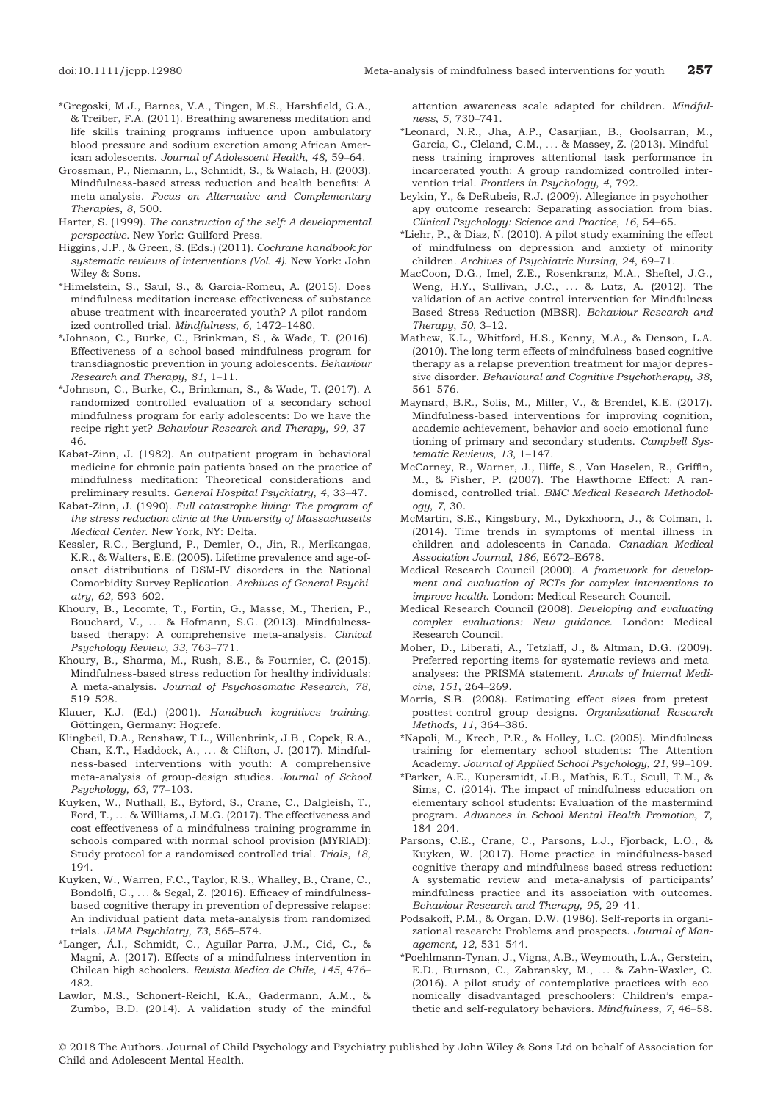- \*Gregoski, M.J., Barnes, V.A., Tingen, M.S., Harshfield, G.A., & Treiber, F.A. (2011). Breathing awareness meditation and life skills training programs influence upon ambulatory blood pressure and sodium excretion among African American adolescents. Journal of Adolescent Health, 48, 59–64.
- Grossman, P., Niemann, L., Schmidt, S., & Walach, H. (2003). Mindfulness-based stress reduction and health benefits: A meta-analysis. Focus on Alternative and Complementary Therapies, 8, 500.
- Harter, S. (1999). The construction of the self: A developmental perspective. New York: Guilford Press.
- Higgins, J.P., & Green, S. (Eds.) (2011). Cochrane handbook for systematic reviews of interventions (Vol. 4). New York: John Wiley & Sons.
- \*Himelstein, S., Saul, S., & Garcia-Romeu, A. (2015). Does mindfulness meditation increase effectiveness of substance abuse treatment with incarcerated youth? A pilot randomized controlled trial. Mindfulness, 6, 1472–1480.
- \*Johnson, C., Burke, C., Brinkman, S., & Wade, T. (2016). Effectiveness of a school-based mindfulness program for transdiagnostic prevention in young adolescents. Behaviour Research and Therapy, 81, 1–11.
- \*Johnson, C., Burke, C., Brinkman, S., & Wade, T. (2017). A randomized controlled evaluation of a secondary school mindfulness program for early adolescents: Do we have the recipe right yet? Behaviour Research and Therapy, 99, 37– 46.
- Kabat-Zinn, J. (1982). An outpatient program in behavioral medicine for chronic pain patients based on the practice of mindfulness meditation: Theoretical considerations and preliminary results. General Hospital Psychiatry, 4, 33–47.
- Kabat-Zinn, J. (1990). Full catastrophe living: The program of the stress reduction clinic at the University of Massachusetts Medical Center. New York, NY: Delta.
- Kessler, R.C., Berglund, P., Demler, O., Jin, R., Merikangas, K.R., & Walters, E.E. (2005). Lifetime prevalence and age-ofonset distributions of DSM-IV disorders in the National Comorbidity Survey Replication. Archives of General Psychiatry, 62, 593–602.
- Khoury, B., Lecomte, T., Fortin, G., Masse, M., Therien, P., Bouchard, V., ... & Hofmann, S.G. (2013). Mindfulnessbased therapy: A comprehensive meta-analysis. Clinical Psychology Review, 33, 763–771.
- Khoury, B., Sharma, M., Rush, S.E., & Fournier, C. (2015). Mindfulness-based stress reduction for healthy individuals: A meta-analysis. Journal of Psychosomatic Research, 78, 519–528.
- Klauer, K.J. (Ed.) (2001). Handbuch kognitives training. Göttingen, Germany: Hogrefe.
- Klingbeil, D.A., Renshaw, T.L., Willenbrink, J.B., Copek, R.A., Chan, K.T., Haddock, A., ... & Clifton, J. (2017). Mindfulness-based interventions with youth: A comprehensive meta-analysis of group-design studies. Journal of School Psychology, 63, 77–103.
- Kuyken, W., Nuthall, E., Byford, S., Crane, C., Dalgleish, T., Ford, T., ... & Williams, J.M.G. (2017). The effectiveness and cost-effectiveness of a mindfulness training programme in schools compared with normal school provision (MYRIAD): Study protocol for a randomised controlled trial. Trials, 18, 194.
- Kuyken, W., Warren, F.C., Taylor, R.S., Whalley, B., Crane, C., Bondolfi, G., ... & Segal, Z. (2016). Efficacy of mindfulnessbased cognitive therapy in prevention of depressive relapse: An individual patient data meta-analysis from randomized trials. JAMA Psychiatry, 73, 565–574.
- \*Langer, A.I., Schmidt, C., Aguilar-Parra, J.M., Cid, C., & Magni, A. (2017). Effects of a mindfulness intervention in Chilean high schoolers. Revista Medica de Chile, 145, 476– 482.
- Lawlor, M.S., Schonert-Reichl, K.A., Gadermann, A.M., & Zumbo, B.D. (2014). A validation study of the mindful

attention awareness scale adapted for children. Mindfulness, 5, 730–741.

- \*Leonard, N.R., Jha, A.P., Casarjian, B., Goolsarran, M., Garcia, C., Cleland, C.M., ... & Massey, Z. (2013). Mindfulness training improves attentional task performance in incarcerated youth: A group randomized controlled intervention trial. Frontiers in Psychology, 4, 792.
- Leykin, Y., & DeRubeis, R.J. (2009). Allegiance in psychotherapy outcome research: Separating association from bias. Clinical Psychology: Science and Practice, 16, 54–65.
- \*Liehr, P., & Diaz, N. (2010). A pilot study examining the effect of mindfulness on depression and anxiety of minority children. Archives of Psychiatric Nursing, 24, 69–71.
- MacCoon, D.G., Imel, Z.E., Rosenkranz, M.A., Sheftel, J.G., Weng, H.Y., Sullivan, J.C., ... & Lutz, A. (2012). The validation of an active control intervention for Mindfulness Based Stress Reduction (MBSR). Behaviour Research and Therapy, 50, 3–12.
- Mathew, K.L., Whitford, H.S., Kenny, M.A., & Denson, L.A. (2010). The long-term effects of mindfulness-based cognitive therapy as a relapse prevention treatment for major depressive disorder. Behavioural and Cognitive Psychotherapy, 38, 561–576.
- Maynard, B.R., Solis, M., Miller, V., & Brendel, K.E. (2017). Mindfulness-based interventions for improving cognition, academic achievement, behavior and socio-emotional functioning of primary and secondary students. Campbell Systematic Reviews, 13, 1–147.
- McCarney, R., Warner, J., Iliffe, S., Van Haselen, R., Griffin, M., & Fisher, P. (2007). The Hawthorne Effect: A randomised, controlled trial. BMC Medical Research Methodology, 7, 30.
- McMartin, S.E., Kingsbury, M., Dykxhoorn, J., & Colman, I. (2014). Time trends in symptoms of mental illness in children and adolescents in Canada. Canadian Medical Association Journal, 186, E672–E678.
- Medical Research Council (2000). A framework for development and evaluation of RCTs for complex interventions to improve health. London: Medical Research Council.
- Medical Research Council (2008). Developing and evaluating complex evaluations: New guidance. London: Medical Research Council.
- Moher, D., Liberati, A., Tetzlaff, J., & Altman, D.G. (2009). Preferred reporting items for systematic reviews and metaanalyses: the PRISMA statement. Annals of Internal Medicine, 151, 264–269.
- Morris, S.B. (2008). Estimating effect sizes from pretestposttest-control group designs. Organizational Research Methods, 11, 364–386.
- \*Napoli, M., Krech, P.R., & Holley, L.C. (2005). Mindfulness training for elementary school students: The Attention Academy. Journal of Applied School Psychology, 21, 99–109.
- \*Parker, A.E., Kupersmidt, J.B., Mathis, E.T., Scull, T.M., & Sims, C. (2014). The impact of mindfulness education on elementary school students: Evaluation of the mastermind program. Advances in School Mental Health Promotion, 7, 184–204.
- Parsons, C.E., Crane, C., Parsons, L.J., Fjorback, L.O., & Kuyken, W. (2017). Home practice in mindfulness-based cognitive therapy and mindfulness-based stress reduction: A systematic review and meta-analysis of participants' mindfulness practice and its association with outcomes. Behaviour Research and Therapy, 95, 29–41.
- Podsakoff, P.M., & Organ, D.W. (1986). Self-reports in organizational research: Problems and prospects. Journal of Management, 12, 531–544.
- \*Poehlmann-Tynan, J., Vigna, A.B., Weymouth, L.A., Gerstein, E.D., Burnson, C., Zabransky, M., ... & Zahn-Waxler, C. (2016). A pilot study of contemplative practices with economically disadvantaged preschoolers: Children's empathetic and self-regulatory behaviors. Mindfulness, 7, 46–58.